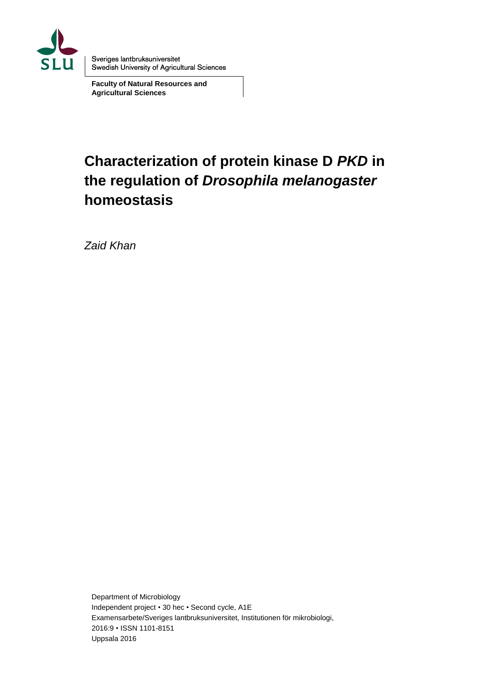

Sveriges lantbruksuniversitet Swedish University of Agricultural Sciences

**Faculty of Natural Resources and Agricultural Sciences**

# **Characterization of protein kinase D** *PKD* **in the regulation of** *Drosophila melanogaster* **homeostasis**

*Zaid Khan*

Department of Microbiology Independent project • 30 hec • Second cycle, A1E Examensarbete/Sveriges lantbruksuniversitet, Institutionen för mikrobiologi, 2016:9 • ISSN 1101-8151 Uppsala 2016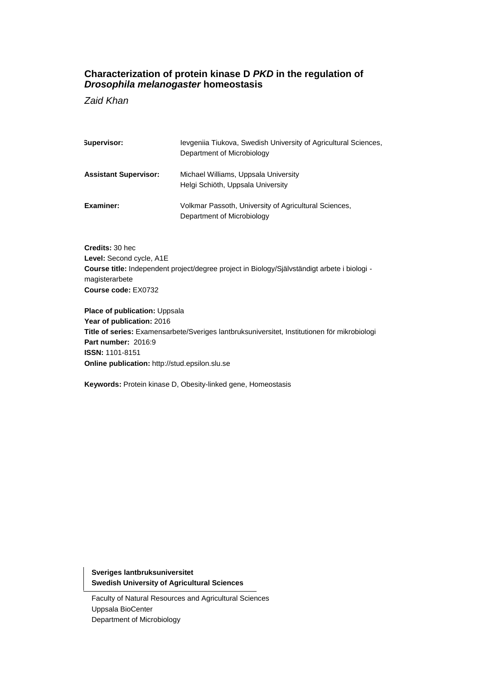## **Characterization of protein kinase D** *PKD* **in the regulation of**  *Drosophila melanogaster* **homeostasis**

*Zaid Khan*

| Supervisor:                  | Jevgenija Tiukova, Swedish University of Agricultural Sciences,<br>Department of Microbiology |
|------------------------------|-----------------------------------------------------------------------------------------------|
| <b>Assistant Supervisor:</b> | Michael Williams, Uppsala University<br>Helgi Schiöth, Uppsala University                     |
| Examiner:                    | Volkmar Passoth, University of Agricultural Sciences,<br>Department of Microbiology           |

**Credits:** 30 hec **Level:** Second cycle, A1E **Course title:** Independent project/degree project in Biology/Självständigt arbete i biologi magisterarbete **Course code:** EX0732

**Place of publication:** Uppsala **Year of publication:** 2016 **Title of series:** Examensarbete/Sveriges lantbruksuniversitet, Institutionen för mikrobiologi **Part number:** 2016:9 **ISSN:** 1101-8151 **Online publication:** http://stud.epsilon.slu.se

**Keywords:** Protein kinase D, Obesity-linked gene, Homeostasis

**Sveriges lantbruksuniversitet Swedish University of Agricultural Sciences**

Faculty of Natural Resources and Agricultural Sciences Uppsala BioCenter Department of Microbiology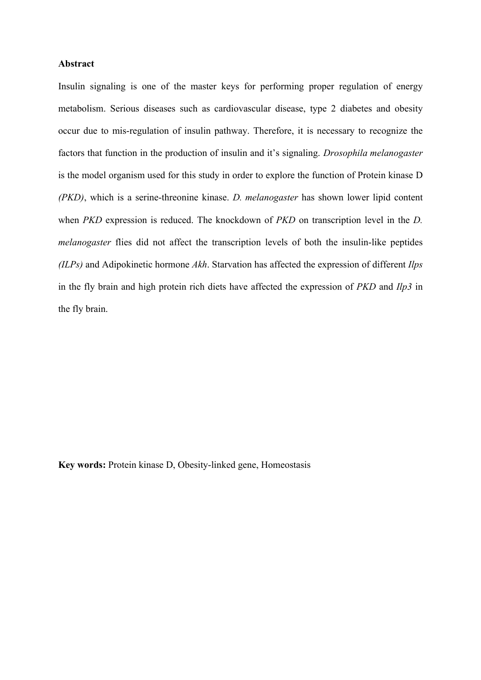#### **Abstract**

Insulin signaling is one of the master keys for performing proper regulation of energy metabolism. Serious diseases such as cardiovascular disease, type 2 diabetes and obesity occur due to mis-regulation of insulin pathway. Therefore, it is necessary to recognize the factors that function in the production of insulin and it's signaling. *Drosophila melanogaster* is the model organism used for this study in order to explore the function of Protein kinase D *(PKD)*, which is a serine-threonine kinase. *D. melanogaster* has shown lower lipid content when *PKD* expression is reduced. The knockdown of *PKD* on transcription level in the *D. melanogaster* flies did not affect the transcription levels of both the insulin-like peptides *(ILPs)* and Adipokinetic hormone *Akh*. Starvation has affected the expression of different *Ilps* in the fly brain and high protein rich diets have affected the expression of *PKD* and *Ilp3* in the fly brain.

**Key words:** Protein kinase D, Obesity-linked gene, Homeostasis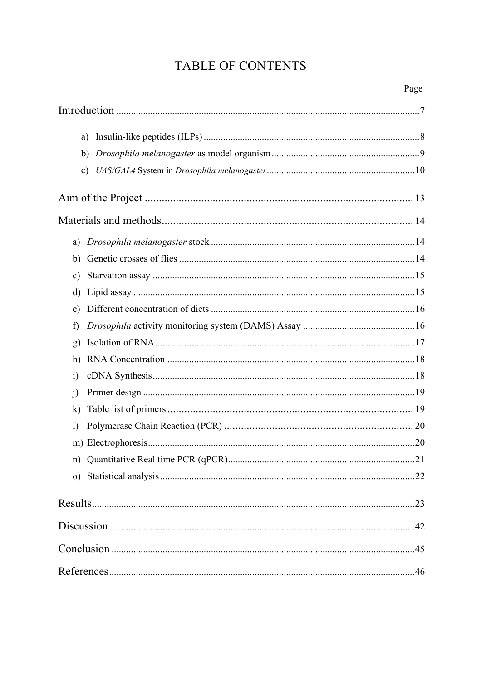## **TABLE OF CONTENTS**

| a)            |     |
|---------------|-----|
| b)            |     |
| $\mathbf{c})$ |     |
|               |     |
|               |     |
| a)            |     |
| b)            |     |
| $\mathbf{c})$ |     |
| d)            |     |
| e)            |     |
| f)            |     |
| g)            |     |
| h)            |     |
| $\ddot{1}$    |     |
| j)            |     |
| $\bf k)$      |     |
| $\mathbf{I}$  |     |
|               |     |
|               |     |
|               | 22  |
|               | 23  |
|               |     |
|               |     |
|               | .46 |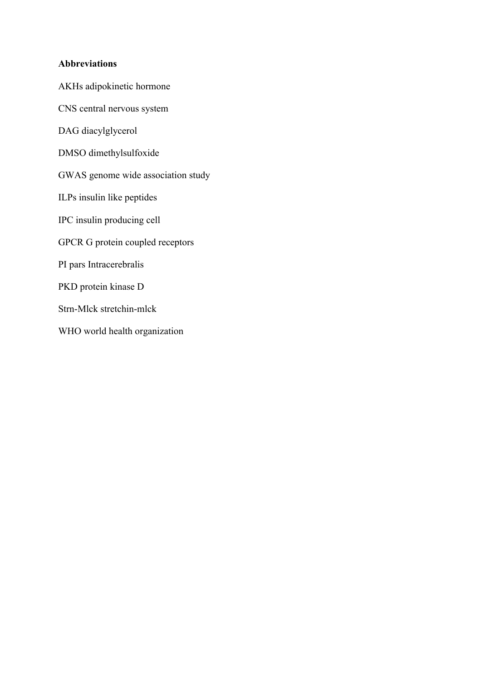## **Abbreviations**

AKHs adipokinetic hormone

CNS central nervous system

DAG diacylglycerol

DMSO dimethylsulfoxide

GWAS genome wide association study

ILPs insulin like peptides

IPC insulin producing cell

GPCR G protein coupled receptors

PI pars Intracerebralis

PKD protein kinase D

Strn-Mlck stretchin-mlck

WHO world health organization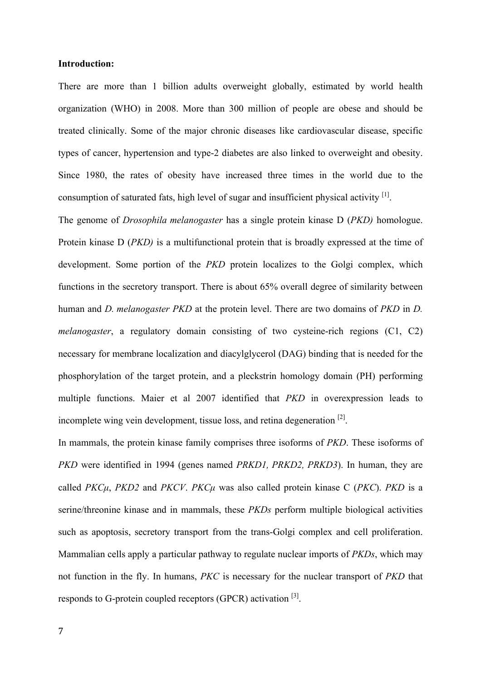#### **Introduction:**

There are more than 1 billion adults overweight globally, estimated by world health organization (WHO) in 2008. More than 300 million of people are obese and should be treated clinically. Some of the major chronic diseases like cardiovascular disease, specific types of cancer, hypertension and type-2 diabetes are also linked to overweight and obesity. Since 1980, the rates of obesity have increased three times in the world due to the consumption of saturated fats, high level of sugar and insufficient physical activity  $[1]$ .

The genome of *Drosophila melanogaster* has a single protein kinase D (*PKD)* homologue. Protein kinase D (*PKD)* is a multifunctional protein that is broadly expressed at the time of development. Some portion of the *PKD* protein localizes to the Golgi complex, which functions in the secretory transport. There is about 65% overall degree of similarity between human and *D. melanogaster PKD* at the protein level. There are two domains of *PKD* in *D. melanogaster*, a regulatory domain consisting of two cysteine-rich regions (C1, C2) necessary for membrane localization and diacylglycerol (DAG) binding that is needed for the phosphorylation of the target protein, and a pleckstrin homology domain (PH) performing multiple functions. Maier et al 2007 identified that *PKD* in overexpression leads to incomplete wing vein development, tissue loss, and retina degeneration  $[2]$ .

In mammals, the protein kinase family comprises three isoforms of *PKD*. These isoforms of *PKD* were identified in 1994 (genes named *PRKD1, PRKD2, PRKD3*). In human, they are called *PKCµ*, *PKD2* and *PKCV*. *PKCµ* was also called protein kinase C (*PKC*). *PKD* is a serine/threonine kinase and in mammals, these *PKDs* perform multiple biological activities such as apoptosis, secretory transport from the trans-Golgi complex and cell proliferation. Mammalian cells apply a particular pathway to regulate nuclear imports of *PKDs*, which may not function in the fly. In humans, *PKC* is necessary for the nuclear transport of *PKD* that responds to G-protein coupled receptors (GPCR) activation [3].

7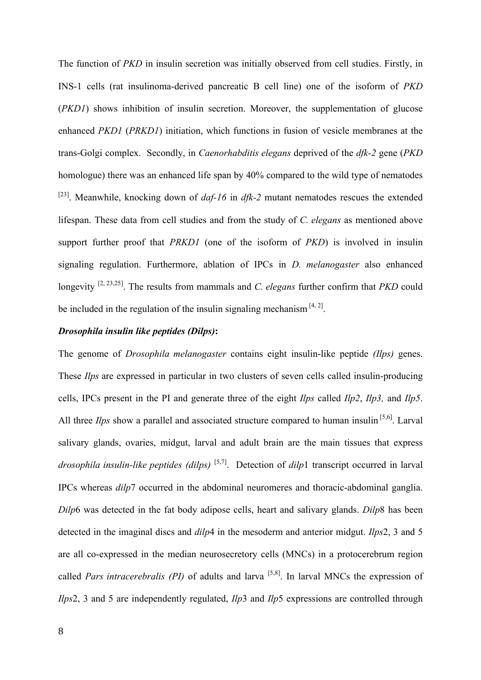The function of *PKD* in insulin secretion was initially observed from cell studies. Firstly, in INS-1 cells (rat insulinoma-derived pancreatic B cell line) one of the isoform of *PKD* (*PKD1*) shows inhibition of insulin secretion. Moreover, the supplementation of glucose enhanced *PKD1* (*PRKD1*) initiation, which functions in fusion of vesicle membranes at the trans-Golgi complex. Secondly, in *Caenorhabditis elegans* deprived of the *dfk-2* gene (*PKD*  homologue) there was an enhanced life span by 40% compared to the wild type of nematodes [23]. Meanwhile, knocking down of *daf-16* in *dfk-2* mutant nematodes rescues the extended lifespan. These data from cell studies and from the study of *C. elegans* as mentioned above support further proof that *PRKD1* (one of the isoform of *PKD*) is involved in insulin signaling regulation. Furthermore, ablation of IPCs in *D. melanogaster* also enhanced longevity <sup>[2, 23,25]</sup>. The results from mammals and *C. elegans* further confirm that *PKD* could be included in the regulation of the insulin signaling mechanism  $[4, 2]$ .

## *Drosophila insulin like peptides (Dilps)***:**

The genome of *Drosophila melanogaster* contains eight insulin-like peptide *(Ilps)* genes. These *Ilps* are expressed in particular in two clusters of seven cells called insulin-producing cells, IPCs present in the PI and generate three of the eight *Ilps* called *Ilp2*, *Ilp3,* and *Ilp5*. All three *Ilps* show a parallel and associated structure compared to human insulin<sup>[5,6]</sup>. Larval salivary glands, ovaries, midgut, larval and adult brain are the main tissues that express *drosophila insulin-like peptides (dilps)* [5,7] . Detection of *dilp*1 transcript occurred in larval IPCs whereas *dilp*7 occurred in the abdominal neuromeres and thoracic-abdominal ganglia. *Dilp*6 was detected in the fat body adipose cells, heart and salivary glands. *Dilp*8 has been detected in the imaginal discs and *dilp*4 in the mesoderm and anterior midgut. *Ilps*2, 3 and 5 are all co-expressed in the median neurosecretory cells (MNCs) in a protocerebrum region called *Pars intracerebralis (PI)* of adults and larva [5,8] . In larval MNCs the expression of *Ilps*2, 3 and 5 are independently regulated, *Ilp*3 and *Ilp*5 expressions are controlled through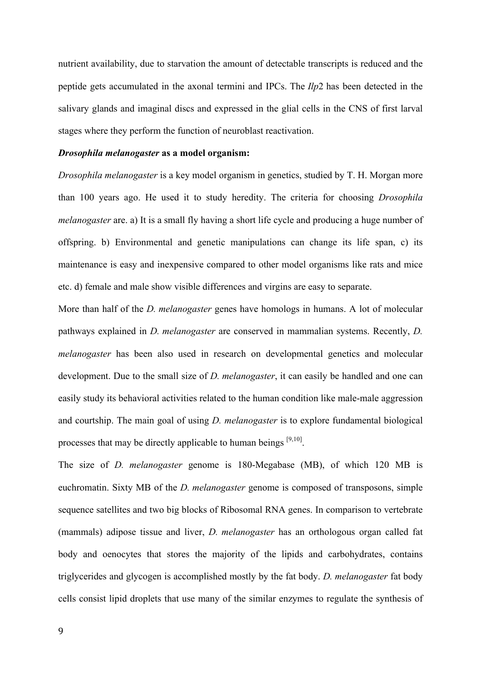nutrient availability, due to starvation the amount of detectable transcripts is reduced and the peptide gets accumulated in the axonal termini and IPCs. The *Ilp*2 has been detected in the salivary glands and imaginal discs and expressed in the glial cells in the CNS of first larval stages where they perform the function of neuroblast reactivation.

#### *Drosophila melanogaster* **as a model organism:**

*Drosophila melanogaster* is a key model organism in genetics, studied by T. H. Morgan more than 100 years ago. He used it to study heredity. The criteria for choosing *Drosophila melanogaster* are. a) It is a small fly having a short life cycle and producing a huge number of offspring. b) Environmental and genetic manipulations can change its life span, c) its maintenance is easy and inexpensive compared to other model organisms like rats and mice etc. d) female and male show visible differences and virgins are easy to separate.

More than half of the *D. melanogaster* genes have homologs in humans. A lot of molecular pathways explained in *D. melanogaster* are conserved in mammalian systems. Recently, *D. melanogaster* has been also used in research on developmental genetics and molecular development. Due to the small size of *D. melanogaster*, it can easily be handled and one can easily study its behavioral activities related to the human condition like male-male aggression and courtship. The main goal of using *D. melanogaster* is to explore fundamental biological processes that may be directly applicable to human beings  $[9,10]$ .

The size of *D. melanogaster* genome is 180-Megabase (MB), of which 120 MB is euchromatin. Sixty MB of the *D. melanogaster* genome is composed of transposons, simple sequence satellites and two big blocks of Ribosomal RNA genes. In comparison to vertebrate (mammals) adipose tissue and liver, *D. melanogaster* has an orthologous organ called fat body and oenocytes that stores the majority of the lipids and carbohydrates, contains triglycerides and glycogen is accomplished mostly by the fat body. *D. melanogaster* fat body cells consist lipid droplets that use many of the similar enzymes to regulate the synthesis of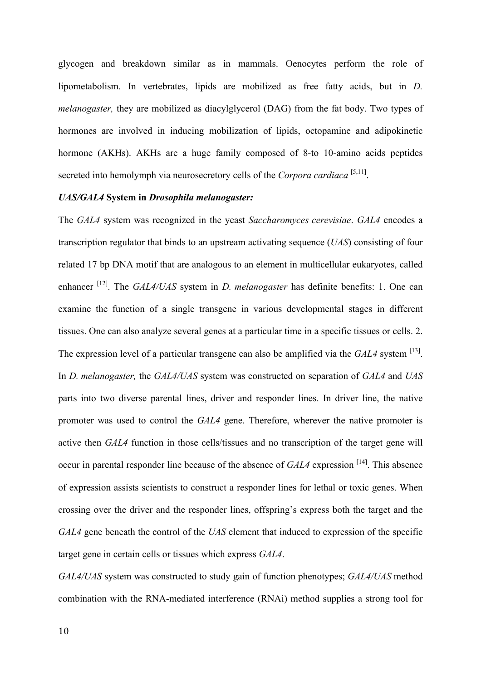glycogen and breakdown similar as in mammals. Oenocytes perform the role of lipometabolism. In vertebrates, lipids are mobilized as free fatty acids, but in *D. melanogaster,* they are mobilized as diacylglycerol (DAG) from the fat body. Two types of hormones are involved in inducing mobilization of lipids, octopamine and adipokinetic hormone (AKHs). AKHs are a huge family composed of 8-to 10-amino acids peptides secreted into hemolymph via neurosecretory cells of the *Corpora cardiaca* [5,11].

#### *UAS/GAL4* **System in** *Drosophila melanogaster:*

The *GAL4* system was recognized in the yeast *Saccharomyces cerevisiae*. *GAL4* encodes a transcription regulator that binds to an upstream activating sequence (*UAS*) consisting of four related 17 bp DNA motif that are analogous to an element in multicellular eukaryotes, called enhancer <sup>[12]</sup>. The *GAL4/UAS* system in *D. melanogaster* has definite benefits: 1. One can examine the function of a single transgene in various developmental stages in different tissues. One can also analyze several genes at a particular time in a specific tissues or cells. 2. The expression level of a particular transgene can also be amplified via the  $GAL4$  system  $^{[13]}$ . In *D. melanogaster,* the *GAL4/UAS* system was constructed on separation of *GAL4* and *UAS* parts into two diverse parental lines, driver and responder lines. In driver line, the native promoter was used to control the *GAL4* gene. Therefore, wherever the native promoter is active then *GAL4* function in those cells/tissues and no transcription of the target gene will occur in parental responder line because of the absence of *GAL4* expression <sup>[14]</sup>. This absence of expression assists scientists to construct a responder lines for lethal or toxic genes. When crossing over the driver and the responder lines, offspring's express both the target and the *GAL4* gene beneath the control of the *UAS* element that induced to expression of the specific target gene in certain cells or tissues which express *GAL4*.

*GAL4/UAS* system was constructed to study gain of function phenotypes; *GAL4/UAS* method combination with the RNA-mediated interference (RNAi) method supplies a strong tool for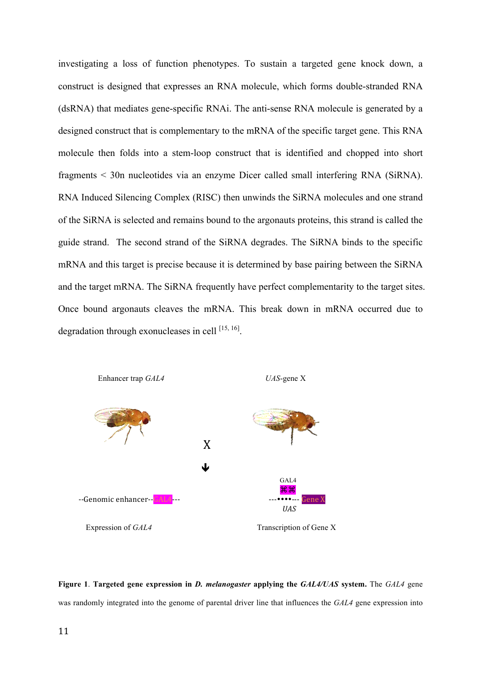investigating a loss of function phenotypes. To sustain a targeted gene knock down, a construct is designed that expresses an RNA molecule, which forms double-stranded RNA (dsRNA) that mediates gene-specific RNAi. The anti-sense RNA molecule is generated by a designed construct that is complementary to the mRNA of the specific target gene. This RNA molecule then folds into a stem-loop construct that is identified and chopped into short fragments < 30n nucleotides via an enzyme Dicer called small interfering RNA (SiRNA). RNA Induced Silencing Complex (RISC) then unwinds the SiRNA molecules and one strand of the SiRNA is selected and remains bound to the argonauts proteins, this strand is called the guide strand. The second strand of the SiRNA degrades. The SiRNA binds to the specific mRNA and this target is precise because it is determined by base pairing between the SiRNA and the target mRNA. The SiRNA frequently have perfect complementarity to the target sites. Once bound argonauts cleaves the mRNA. This break down in mRNA occurred due to degradation through exonucleases in cell  $^{[15, 16]}$ .



**Figure 1**. **Targeted gene expression in** *D. melanogaster* **applying the** *GAL4/UAS* **system.** The *GAL4* gene was randomly integrated into the genome of parental driver line that influences the *GAL4* gene expression into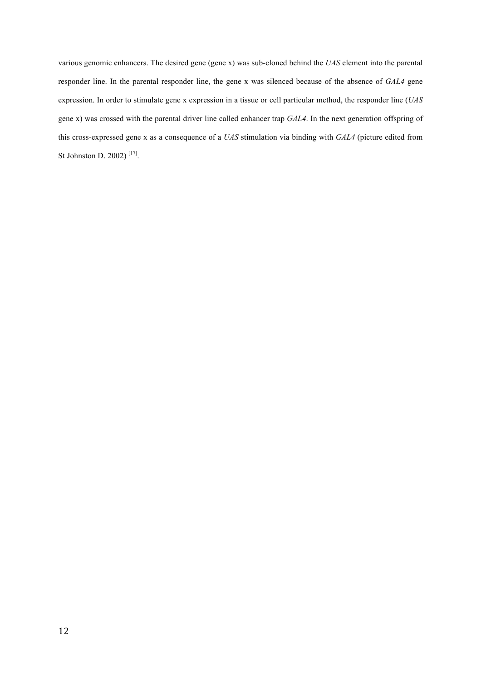various genomic enhancers. The desired gene (gene x) was sub-cloned behind the *UAS* element into the parental responder line. In the parental responder line, the gene x was silenced because of the absence of *GAL4* gene expression. In order to stimulate gene x expression in a tissue or cell particular method, the responder line (*UAS*  gene x) was crossed with the parental driver line called enhancer trap *GAL4*. In the next generation offspring of this cross-expressed gene x as a consequence of a *UAS* stimulation via binding with *GAL4* (picture edited from St Johnston D. 2002)<sup>[17]</sup>.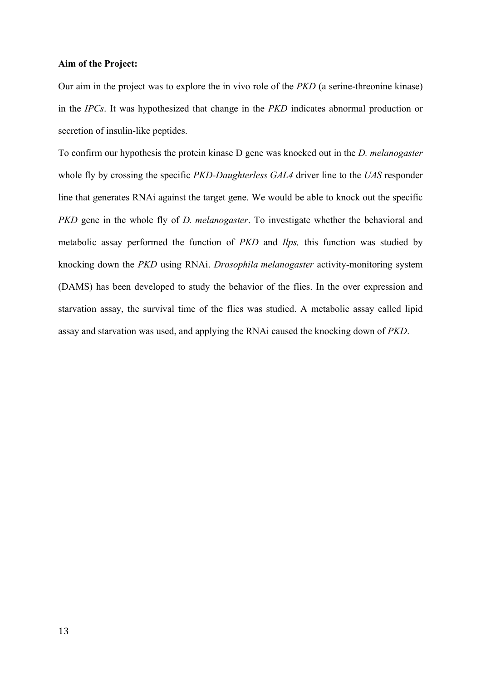#### **Aim of the Project:**

Our aim in the project was to explore the in vivo role of the *PKD* (a serine-threonine kinase) in the *IPCs*. It was hypothesized that change in the *PKD* indicates abnormal production or secretion of insulin-like peptides.

To confirm our hypothesis the protein kinase D gene was knocked out in the *D. melanogaster* whole fly by crossing the specific *PKD-Daughterless GAL4* driver line to the *UAS* responder line that generates RNAi against the target gene. We would be able to knock out the specific *PKD* gene in the whole fly of *D. melanogaster*. To investigate whether the behavioral and metabolic assay performed the function of *PKD* and *Ilps,* this function was studied by knocking down the *PKD* using RNAi. *Drosophila melanogaster* activity-monitoring system (DAMS) has been developed to study the behavior of the flies. In the over expression and starvation assay, the survival time of the flies was studied. A metabolic assay called lipid assay and starvation was used, and applying the RNAi caused the knocking down of *PKD*.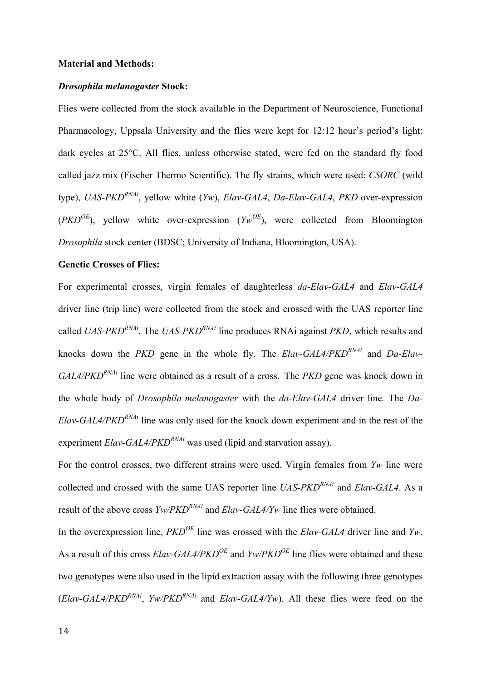#### **Material and Methods:**

#### *Drosophila melanogaster* **Stock:**

Flies were collected from the stock available in the Department of Neuroscience, Functional Pharmacology, Uppsala University and the flies were kept for 12:12 hour's period's light: dark cycles at 25°C. All flies, unless otherwise stated, were fed on the standard fly food called jazz mix (Fischer Thermo Scientific). The fly strains, which were used: *CSORC* (wild type), *UAS-PKDRNAi*, yellow white (*Yw*), *Elav-GAL4*, *Da-Elav-GAL4*, *PKD* over-expression  $(PKD^{OE})$ , yellow white over-expression  $(YW^{OE})$ , were collected from Bloomington *Drosophila* stock center (BDSC; University of Indiana, Bloomington, USA).

#### **Genetic Crosses of Flies:**

For experimental crosses, virgin females of daughterless *da-Elav-GAL4* and *Elav-GAL4* driver line (trip line) were collected from the stock and crossed with the UAS reporter line called *UAS-PKDRNAi*. The *UAS-PKDRNAi* line produces RNAi against *PKD*, which results and knocks down the *PKD* gene in the whole fly. The *Elav-GAL4/PKDRNAi* and *Da-Elav-GAL4/PKD<sup>RNAi</sup>* line were obtained as a result of a cross. The *PKD* gene was knock down in the whole body of *Drosophila melanogaster* with the *da-Elav-GAL4* driver line*.* The *Da-Elav-GAL4/PKD<sup>RNAi</sup>* line was only used for the knock down experiment and in the rest of the experiment *Elav-GAL4/PKD<sup>RNAi*</sup> was used (lipid and starvation assay).

For the control crosses, two different strains were used. Virgin females from *Yw* line were collected and crossed with the same UAS reporter line *UAS-PKDRNAi* and *Elav-GAL4*. As a result of the above cross *Yw/PKDRNAi* and *Elav-GAL4/Yw* line flies were obtained.

In the overexpression line, *PKDOE* line was crossed with the *Elav-GAL4* driver line and *Yw*. As a result of this cross *Elav-GAL4/PKDOE* and *Yw/PKDOE* line flies were obtained and these two genotypes were also used in the lipid extraction assay with the following three genotypes  $(Elav-GAL4/PKD<sup>RNAi</sup>, Yw/PKD<sup>RNAi</sup>$  and  $Elav-GAL4/Yw$ ). All these flies were feed on the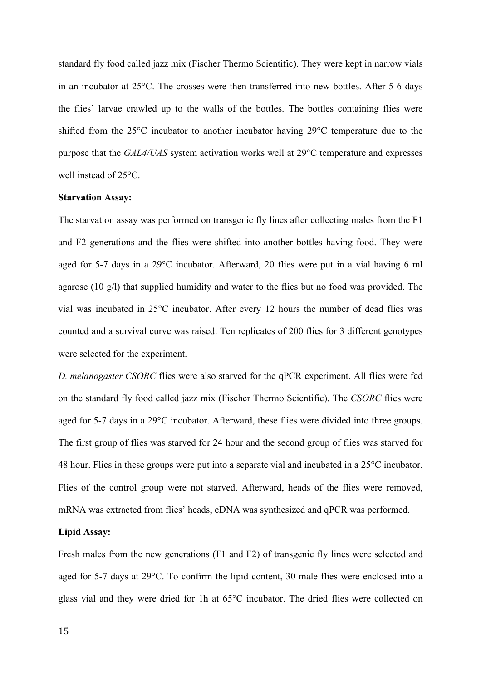standard fly food called jazz mix (Fischer Thermo Scientific). They were kept in narrow vials in an incubator at 25°C. The crosses were then transferred into new bottles. After 5-6 days the flies' larvae crawled up to the walls of the bottles. The bottles containing flies were shifted from the 25°C incubator to another incubator having 29°C temperature due to the purpose that the *GAL4/UAS* system activation works well at 29°C temperature and expresses well instead of 25°C.

#### **Starvation Assay:**

The starvation assay was performed on transgenic fly lines after collecting males from the F1 and F2 generations and the flies were shifted into another bottles having food. They were aged for 5-7 days in a 29°C incubator. Afterward, 20 flies were put in a vial having 6 ml agarose (10 g/l) that supplied humidity and water to the flies but no food was provided. The vial was incubated in 25°C incubator. After every 12 hours the number of dead flies was counted and a survival curve was raised. Ten replicates of 200 flies for 3 different genotypes were selected for the experiment.

*D. melanogaster CSORC* flies were also starved for the qPCR experiment. All flies were fed on the standard fly food called jazz mix (Fischer Thermo Scientific). The *CSORC* flies were aged for 5-7 days in a 29°C incubator. Afterward, these flies were divided into three groups. The first group of flies was starved for 24 hour and the second group of flies was starved for 48 hour. Flies in these groups were put into a separate vial and incubated in a 25°C incubator. Flies of the control group were not starved. Afterward, heads of the flies were removed, mRNA was extracted from flies' heads, cDNA was synthesized and qPCR was performed.

#### **Lipid Assay:**

Fresh males from the new generations (F1 and F2) of transgenic fly lines were selected and aged for 5-7 days at 29°C. To confirm the lipid content, 30 male flies were enclosed into a glass vial and they were dried for 1h at 65°C incubator. The dried flies were collected on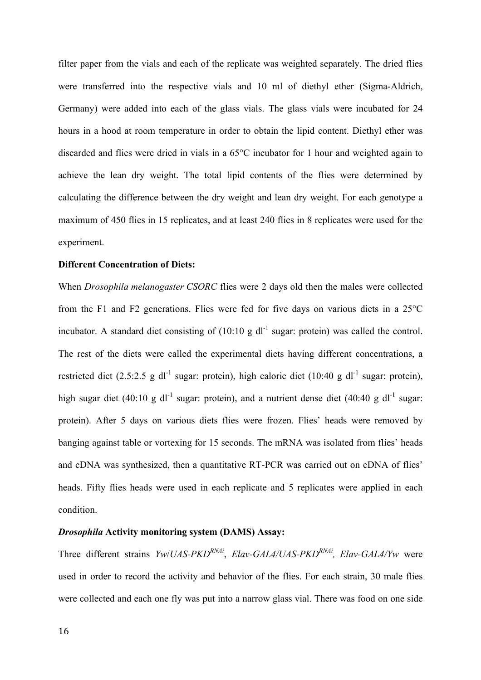filter paper from the vials and each of the replicate was weighted separately. The dried flies were transferred into the respective vials and 10 ml of diethyl ether (Sigma-Aldrich, Germany) were added into each of the glass vials. The glass vials were incubated for 24 hours in a hood at room temperature in order to obtain the lipid content. Diethyl ether was discarded and flies were dried in vials in a 65°C incubator for 1 hour and weighted again to achieve the lean dry weight. The total lipid contents of the flies were determined by calculating the difference between the dry weight and lean dry weight. For each genotype a maximum of 450 flies in 15 replicates, and at least 240 flies in 8 replicates were used for the experiment.

#### **Different Concentration of Diets:**

When *Drosophila melanogaster CSORC* flies were 2 days old then the males were collected from the F1 and F2 generations. Flies were fed for five days on various diets in a 25°C incubator. A standard diet consisting of  $(10:10 \text{ g d}^{-1}$  sugar: protein) was called the control. The rest of the diets were called the experimental diets having different concentrations, a restricted diet (2.5:2.5 g dl<sup>-1</sup> sugar: protein), high caloric diet (10:40 g dl<sup>-1</sup> sugar: protein), high sugar diet (40:10 g dl<sup>-1</sup> sugar: protein), and a nutrient dense diet (40:40 g dl<sup>-1</sup> sugar: protein). After 5 days on various diets flies were frozen. Flies' heads were removed by banging against table or vortexing for 15 seconds. The mRNA was isolated from flies' heads and cDNA was synthesized, then a quantitative RT-PCR was carried out on cDNA of flies' heads. Fifty flies heads were used in each replicate and 5 replicates were applied in each condition.

#### *Drosophila* **Activity monitoring system (DAMS) Assay:**

Three different strains *Yw*/*UAS-PKDRNAi*, *Elav-GAL4/UAS-PKDRNAi, Elav-GAL4/Yw* were used in order to record the activity and behavior of the flies. For each strain, 30 male flies were collected and each one fly was put into a narrow glass vial. There was food on one side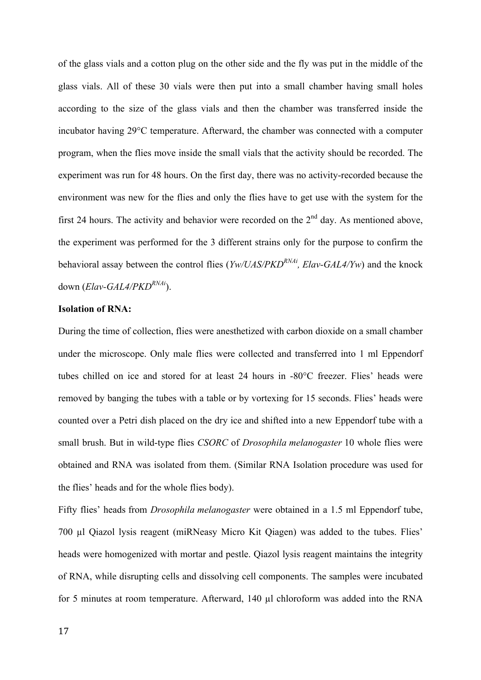of the glass vials and a cotton plug on the other side and the fly was put in the middle of the glass vials. All of these 30 vials were then put into a small chamber having small holes according to the size of the glass vials and then the chamber was transferred inside the incubator having 29°C temperature. Afterward, the chamber was connected with a computer program, when the flies move inside the small vials that the activity should be recorded. The experiment was run for 48 hours. On the first day, there was no activity-recorded because the environment was new for the flies and only the flies have to get use with the system for the first 24 hours. The activity and behavior were recorded on the  $2<sup>nd</sup>$  day. As mentioned above, the experiment was performed for the 3 different strains only for the purpose to confirm the behavioral assay between the control flies (*Yw/UAS/PKDRNAi, Elav-GAL4/Yw*) and the knock down (*Elav-GAL4/PKDRNAi*).

## **Isolation of RNA:**

During the time of collection, flies were anesthetized with carbon dioxide on a small chamber under the microscope. Only male flies were collected and transferred into 1 ml Eppendorf tubes chilled on ice and stored for at least 24 hours in -80°C freezer. Flies' heads were removed by banging the tubes with a table or by vortexing for 15 seconds. Flies' heads were counted over a Petri dish placed on the dry ice and shifted into a new Eppendorf tube with a small brush. But in wild-type flies *CSORC* of *Drosophila melanogaster* 10 whole flies were obtained and RNA was isolated from them. (Similar RNA Isolation procedure was used for the flies' heads and for the whole flies body).

Fifty flies' heads from *Drosophila melanogaster* were obtained in a 1.5 ml Eppendorf tube, 700 µl Qiazol lysis reagent (miRNeasy Micro Kit Qiagen) was added to the tubes. Flies' heads were homogenized with mortar and pestle. Qiazol lysis reagent maintains the integrity of RNA, while disrupting cells and dissolving cell components. The samples were incubated for 5 minutes at room temperature. Afterward, 140 µl chloroform was added into the RNA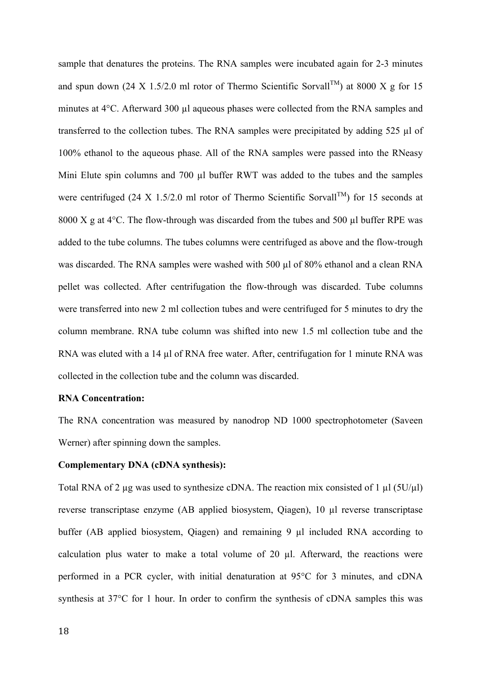sample that denatures the proteins. The RNA samples were incubated again for 2-3 minutes and spun down (24 X 1.5/2.0 ml rotor of Thermo Scientific Sorvall<sup>TM</sup>) at 8000 X g for 15 minutes at 4°C. Afterward 300 µl aqueous phases were collected from the RNA samples and transferred to the collection tubes. The RNA samples were precipitated by adding 525 µl of 100% ethanol to the aqueous phase. All of the RNA samples were passed into the RNeasy Mini Elute spin columns and 700 µl buffer RWT was added to the tubes and the samples were centrifuged (24 X 1.5/2.0 ml rotor of Thermo Scientific Sorvall<sup>TM</sup>) for 15 seconds at 8000 X g at  $4^{\circ}$ C. The flow-through was discarded from the tubes and 500 µl buffer RPE was added to the tube columns. The tubes columns were centrifuged as above and the flow-trough was discarded. The RNA samples were washed with 500 µl of 80% ethanol and a clean RNA pellet was collected. After centrifugation the flow-through was discarded. Tube columns were transferred into new 2 ml collection tubes and were centrifuged for 5 minutes to dry the column membrane. RNA tube column was shifted into new 1.5 ml collection tube and the RNA was eluted with a 14 µl of RNA free water. After, centrifugation for 1 minute RNA was collected in the collection tube and the column was discarded.

#### **RNA Concentration:**

The RNA concentration was measured by nanodrop ND 1000 spectrophotometer (Saveen Werner) after spinning down the samples.

#### **Complementary DNA (cDNA synthesis):**

Total RNA of 2 µg was used to synthesize cDNA. The reaction mix consisted of 1 µl ( $5U/\mu$ l) reverse transcriptase enzyme (AB applied biosystem, Qiagen), 10 µl reverse transcriptase buffer (AB applied biosystem, Qiagen) and remaining 9  $\mu$ l included RNA according to calculation plus water to make a total volume of 20 µl. Afterward, the reactions were performed in a PCR cycler, with initial denaturation at 95°C for 3 minutes, and cDNA synthesis at 37°C for 1 hour. In order to confirm the synthesis of cDNA samples this was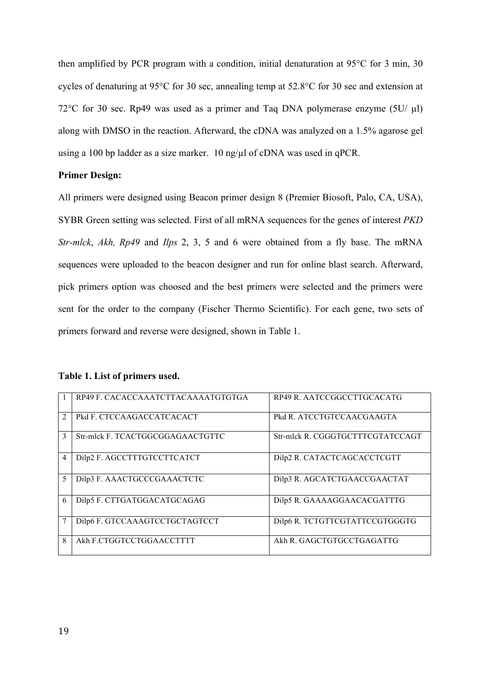then amplified by PCR program with a condition, initial denaturation at 95°C for 3 min, 30 cycles of denaturing at 95°C for 30 sec, annealing temp at 52.8°C for 30 sec and extension at 72°C for 30 sec. Rp49 was used as a primer and Taq DNA polymerase enzyme (5U/ µl) along with DMSO in the reaction. Afterward, the cDNA was analyzed on a 1.5% agarose gel using a 100 bp ladder as a size marker. 10 ng/ $\mu$ l of cDNA was used in qPCR.

## **Primer Design:**

All primers were designed using Beacon primer design 8 (Premier Biosoft, Palo, CA, USA), SYBR Green setting was selected. First of all mRNA sequences for the genes of interest *PKD Str-mlck*, *Akh, Rp49* and *Ilps* 2, 3, 5 and 6 were obtained from a fly base. The mRNA sequences were uploaded to the beacon designer and run for online blast search. Afterward, pick primers option was choosed and the best primers were selected and the primers were sent for the order to the company (Fischer Thermo Scientific). For each gene, two sets of primers forward and reverse were designed, shown in Table 1.

|                | RP49 F. CACACCAAATCTTACAAAATGTGTGA | RP49 R. AATCCGGCCTTGCACATG       |
|----------------|------------------------------------|----------------------------------|
| $\mathfrak{D}$ | Pkd F. CTCCAAGACCATCACACT          | Pkd R. ATCCTGTCCAACGAAGTA        |
| 3              | Str-mlck F. TCACTGGCGGAGAACTGTTC   | Str-mlck R. CGGGTGCTTTCGTATCCAGT |
| 4              | Dilp2 F. AGCCTTTGTCCTTCATCT        | Dilp2 R. CATACTCAGCACCTCGTT      |
| 5              | Dilp3 F. AAACTGCCCGAAACTCTC        | Dilp3 R. AGCATCTGAACCGAACTAT     |
| 6              | Dilp5 F. CTTGATGGACATGCAGAG        | Dilp5 R. GAAAAGGAACACGATTTG      |
| 7              | Dilp6 F. GTCCAAAGTCCTGCTAGTCCT     | Dilp6 R. TCTGTTCGTATTCCGTGGGTG   |
| 8              | Akh F.CTGGTCCTGGAACCTTTT           | Akh R. GAGCTGTGCCTGAGATTG        |

#### **Table 1. List of primers used.**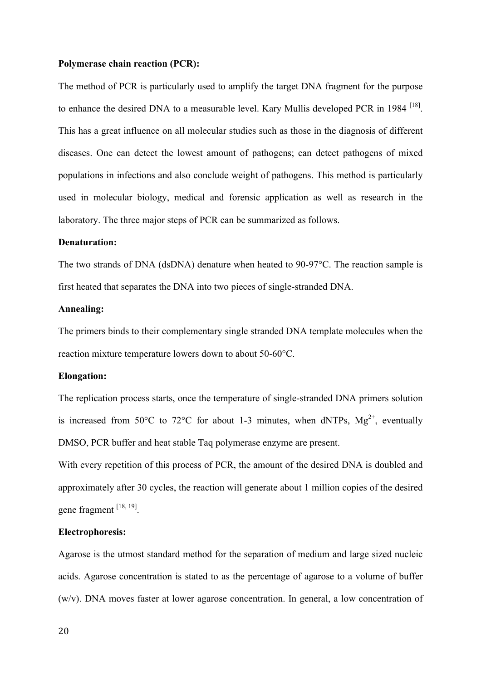#### **Polymerase chain reaction (PCR):**

The method of PCR is particularly used to amplify the target DNA fragment for the purpose to enhance the desired DNA to a measurable level. Kary Mullis developed PCR in 1984<sup>[18]</sup>. This has a great influence on all molecular studies such as those in the diagnosis of different diseases. One can detect the lowest amount of pathogens; can detect pathogens of mixed populations in infections and also conclude weight of pathogens. This method is particularly used in molecular biology, medical and forensic application as well as research in the laboratory. The three major steps of PCR can be summarized as follows.

#### **Denaturation:**

The two strands of DNA (dsDNA) denature when heated to 90-97°C. The reaction sample is first heated that separates the DNA into two pieces of single-stranded DNA.

### **Annealing:**

The primers binds to their complementary single stranded DNA template molecules when the reaction mixture temperature lowers down to about 50-60°C.

#### **Elongation:**

The replication process starts, once the temperature of single-stranded DNA primers solution is increased from 50°C to 72°C for about 1-3 minutes, when dNTPs,  $Mg^{2+}$ , eventually DMSO, PCR buffer and heat stable Taq polymerase enzyme are present.

With every repetition of this process of PCR, the amount of the desired DNA is doubled and approximately after 30 cycles, the reaction will generate about 1 million copies of the desired gene fragment [18, 19].

#### **Electrophoresis:**

Agarose is the utmost standard method for the separation of medium and large sized nucleic acids. Agarose concentration is stated to as the percentage of agarose to a volume of buffer (w/v). DNA moves faster at lower agarose concentration. In general, a low concentration of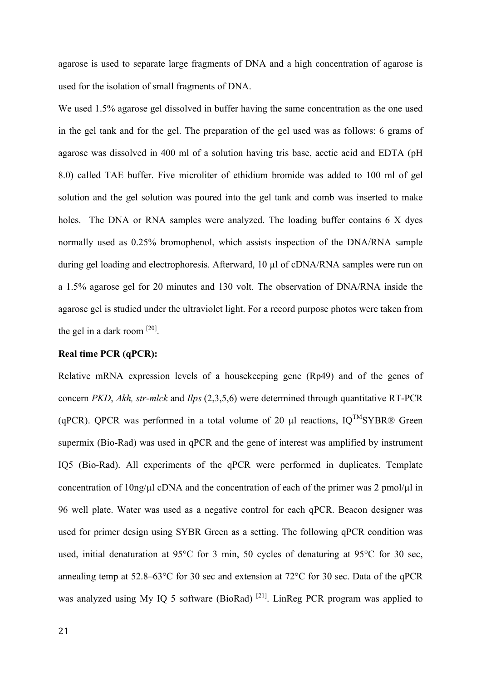agarose is used to separate large fragments of DNA and a high concentration of agarose is used for the isolation of small fragments of DNA.

We used 1.5% agarose gel dissolved in buffer having the same concentration as the one used in the gel tank and for the gel. The preparation of the gel used was as follows: 6 grams of agarose was dissolved in 400 ml of a solution having tris base, acetic acid and EDTA (pH 8.0) called TAE buffer. Five microliter of ethidium bromide was added to 100 ml of gel solution and the gel solution was poured into the gel tank and comb was inserted to make holes. The DNA or RNA samples were analyzed. The loading buffer contains 6 X dyes normally used as 0.25% bromophenol, which assists inspection of the DNA/RNA sample during gel loading and electrophoresis. Afterward, 10 µl of cDNA/RNA samples were run on a 1.5% agarose gel for 20 minutes and 130 volt. The observation of DNA/RNA inside the agarose gel is studied under the ultraviolet light. For a record purpose photos were taken from the gel in a dark room  $^{[20]}$ .

#### **Real time PCR (qPCR):**

Relative mRNA expression levels of a housekeeping gene (Rp49) and of the genes of concern *PKD*, *Akh, str-mlck* and *Ilps* (2,3,5,6) were determined through quantitative RT-PCR (qPCR). QPCR was performed in a total volume of 20  $\mu$ l reactions, IQ<sup>TM</sup>SYBR® Green supermix (Bio-Rad) was used in qPCR and the gene of interest was amplified by instrument IQ5 (Bio-Rad). All experiments of the qPCR were performed in duplicates. Template concentration of  $10\frac{ng}{\mu}$  cDNA and the concentration of each of the primer was 2 pmol/ $\mu$ l in 96 well plate. Water was used as a negative control for each qPCR. Beacon designer was used for primer design using SYBR Green as a setting. The following qPCR condition was used, initial denaturation at 95°C for 3 min, 50 cycles of denaturing at 95°C for 30 sec, annealing temp at 52.8–63°C for 30 sec and extension at 72°C for 30 sec. Data of the qPCR was analyzed using My IQ 5 software (BioRad)<sup>[21]</sup>. LinReg PCR program was applied to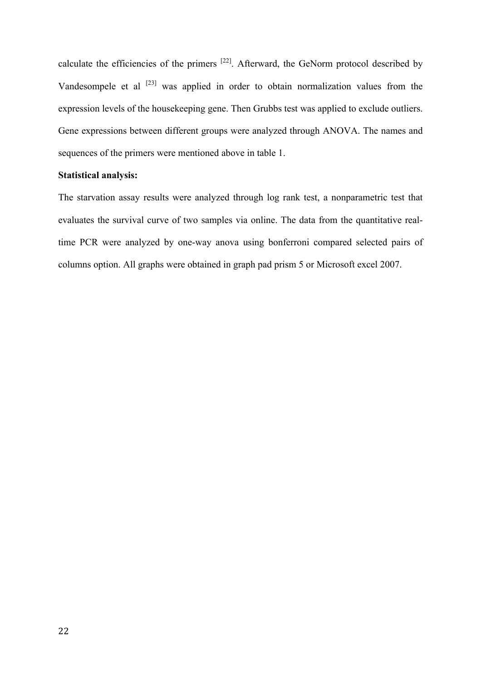calculate the efficiencies of the primers  $^{[22]}$ . Afterward, the GeNorm protocol described by Vandesompele et al [23] was applied in order to obtain normalization values from the expression levels of the housekeeping gene. Then Grubbs test was applied to exclude outliers. Gene expressions between different groups were analyzed through ANOVA. The names and sequences of the primers were mentioned above in table 1.

## **Statistical analysis:**

The starvation assay results were analyzed through log rank test, a nonparametric test that evaluates the survival curve of two samples via online. The data from the quantitative realtime PCR were analyzed by one-way anova using bonferroni compared selected pairs of columns option. All graphs were obtained in graph pad prism 5 or Microsoft excel 2007.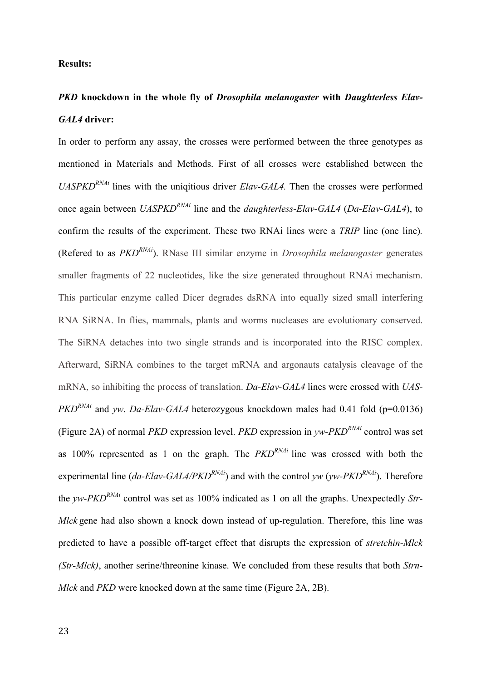#### **Results:**

## *PKD* **knockdown in the whole fly of** *Drosophila melanogaster* **with** *Daughterless Elav-GAL4* **driver:**

In order to perform any assay, the crosses were performed between the three genotypes as mentioned in Materials and Methods. First of all crosses were established between the *UASPKDRNAi* lines with the uniqitious driver *Elav-GAL4.* Then the crosses were performed once again between *UASPKDRNAi* line and the *daughterless-Elav-GAL4* (*Da-Elav-GAL4*), to confirm the results of the experiment. These two RNAi lines were a *TRIP* line (one line)*.* (Refered to as *PKDRNAi*). RNase III similar enzyme in *Drosophila melanogaster* generates smaller fragments of 22 nucleotides, like the size generated throughout RNAi mechanism. This particular enzyme called Dicer degrades dsRNA into equally sized small interfering RNA SiRNA. In flies, mammals, plants and worms nucleases are evolutionary conserved. The SiRNA detaches into two single strands and is incorporated into the RISC complex. Afterward, SiRNA combines to the target mRNA and argonauts catalysis cleavage of the mRNA, so inhibiting the process of translation. *Da-Elav-GAL4* lines were crossed with *UAS-PKD<sup>RNAi</sup>* and *yw. Da-Elav-GAL4* heterozygous knockdown males had 0.41 fold (p=0.0136) (Figure 2A) of normal *PKD* expression level. *PKD* expression in *yw-PKD<sup>RNAi*</sup> control was set as 100% represented as 1 on the graph. The *PKDRNAi* line was crossed with both the experimental line (*da-Elav-GAL4/PKD<sup>RNAi</sup>*) and with the control *yw* (*yw-PKD<sup>RNAi</sup>*). Therefore the *yw-PKDRNAi* control was set as 100% indicated as 1 on all the graphs. Unexpectedly *Str-Mlck* gene had also shown a knock down instead of up-regulation. Therefore, this line was predicted to have a possible off-target effect that disrupts the expression of *stretchin-Mlck (Str-Mlck)*, another serine/threonine kinase. We concluded from these results that both *Strn-Mlck* and *PKD* were knocked down at the same time (Figure 2A, 2B).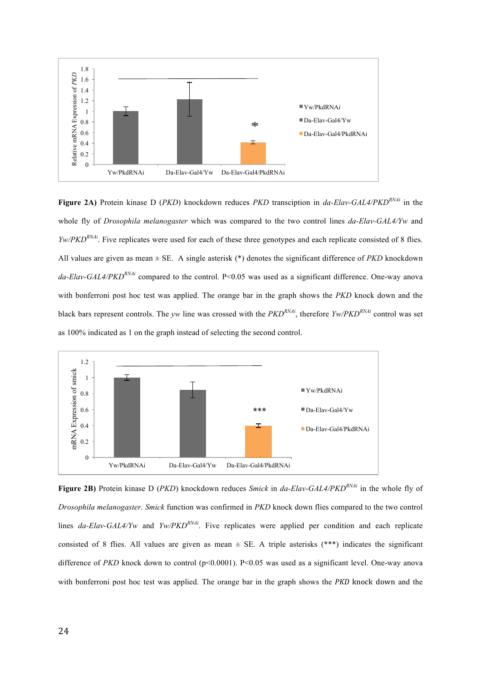

**Figure 2A)** Protein kinase D (*PKD*) knockdown reduces *PKD* transciption in *da-Elav-GAL4/PKDRNAi* in the whole fly of *Drosophila melanogaster* which was compared to the two control lines *da-Elav-GAL4/Yw* and *Yw/PKD<sup>RNAi</sup>*. Five replicates were used for each of these three genotypes and each replicate consisted of 8 flies. All values are given as mean ± SE. A single asterisk (\*) denotes the significant difference of *PKD* knockdown *da-Elav-GAL4/PKDRNAi* compared to the control. P<0.05 was used as a significant difference. One-way anova with bonferroni post hoc test was applied. The orange bar in the graph shows the *PKD* knock down and the black bars represent controls. The *yw* line was crossed with the *PKDRNAi*, therefore *Yw/PKDRNAi* control was set as 100% indicated as 1 on the graph instead of selecting the second control.



**Figure 2B)** Protein kinase D (*PKD*) knockdown reduces *Smick* in *da-Elav-GAL4/PKDRNAi* in the whole fly of *Drosophila melanogaster. Smick* function was confirmed in *PKD* knock down flies compared to the two control lines *da-Elav-GAL4/Yw* and *Yw/PKD<sup>RNAi</sup>*. Five replicates were applied per condition and each replicate consisted of 8 flies. All values are given as mean  $\pm$  SE. A triple asterisks (\*\*\*) indicates the significant difference of *PKD* knock down to control (p<0.0001). P<0.05 was used as a significant level. One-way anova with bonferroni post hoc test was applied. The orange bar in the graph shows the *PKD* knock down and the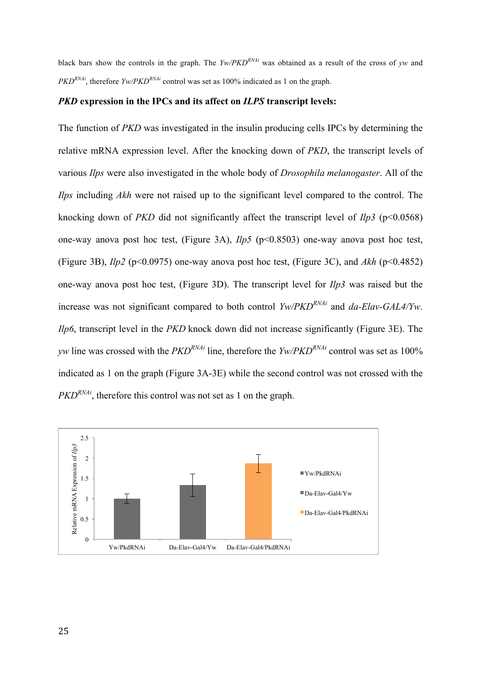black bars show the controls in the graph. The *Yw/PKDRNAi* was obtained as a result of the cross of *yw* and *PKD*<sup>*RNAi*</sup>, therefore *Yw*/*PKD*<sup>*RNAi*</sup> control was set as 100% indicated as 1 on the graph.

#### *PKD* **expression in the IPCs and its affect on** *ILPS* **transcript levels:**

The function of *PKD* was investigated in the insulin producing cells IPCs by determining the relative mRNA expression level. After the knocking down of *PKD*, the transcript levels of various *Ilps* were also investigated in the whole body of *Drosophila melanogaster*. All of the *Ilps* including *Akh* were not raised up to the significant level compared to the control. The knocking down of *PKD* did not significantly affect the transcript level of *Ilp3* (p<0.0568) one-way anova post hoc test, (Figure 3A), *Ilp5* (p<0.8503) one-way anova post hoc test, (Figure 3B), *Ilp2* (p<0.0975) one-way anova post hoc test, (Figure 3C), and *Akh* (p<0.4852) one-way anova post hoc test, (Figure 3D). The transcript level for *Ilp3* was raised but the increase was not significant compared to both control *Yw/PKDRNAi* and *da-Elav-GAL4/Yw*. *Ilp6*, transcript level in the *PKD* knock down did not increase significantly (Figure 3E). The *yw* line was crossed with the *PKDRNAi* line, therefore the *Yw/PKDRNAi* control was set as 100% indicated as 1 on the graph (Figure 3A-3E) while the second control was not crossed with the *PKD<sup>RNAi*</sup>, therefore this control was not set as 1 on the graph.

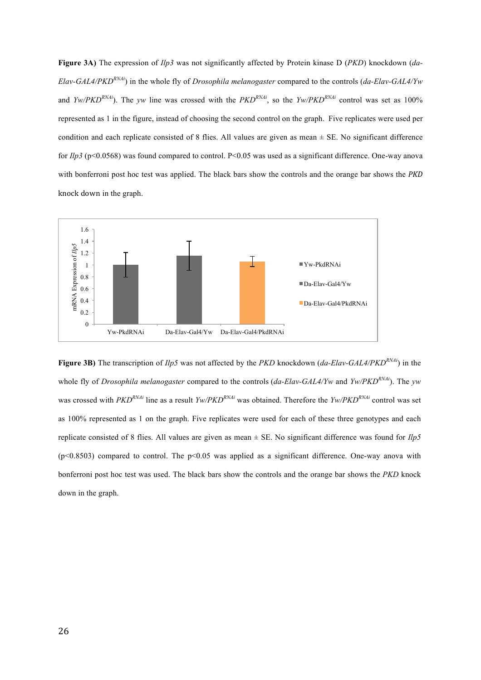**Figure 3A)** The expression of *Ilp3* was not significantly affected by Protein kinase D (*PKD*) knockdown (*da-Elav-GAL4/PKDRNAi*) in the whole fly of *Drosophila melanogaster* compared to the controls (*da-Elav-GAL4/Yw* and *Yw/PKD<sup>RNAi</sup>*). The *yw* line was crossed with the *PKD<sup>RNAi</sup>*, so the *Yw/PKD<sup>RNAi</sup>* control was set as 100% represented as 1 in the figure, instead of choosing the second control on the graph. Five replicates were used per condition and each replicate consisted of 8 flies. All values are given as mean  $\pm$  SE. No significant difference for *Ilp3* (p<0.0568) was found compared to control. P<0.05 was used as a significant difference. One-way anova with bonferroni post hoc test was applied. The black bars show the controls and the orange bar shows the *PKD* knock down in the graph.



**Figure 3B)** The transcription of *Ilp5* was not affected by the *PKD* knockdown (*da-Elav-GAL4/PKDRNAi*) in the whole fly of *Drosophila melanogaster* compared to the controls (*da-Elav-GAL4/Yw* and *Yw/PKDRNAi*). The *yw* was crossed with *PKDRNAi* line as a result *Yw/PKDRNAi* was obtained. Therefore the *Yw/PKDRNAi* control was set as 100% represented as 1 on the graph. Five replicates were used for each of these three genotypes and each replicate consisted of 8 flies. All values are given as mean ± SE. No significant difference was found for *Ilp5* ( $p$ <0.8503) compared to control. The  $p$ <0.05 was applied as a significant difference. One-way anova with bonferroni post hoc test was used. The black bars show the controls and the orange bar shows the *PKD* knock down in the graph.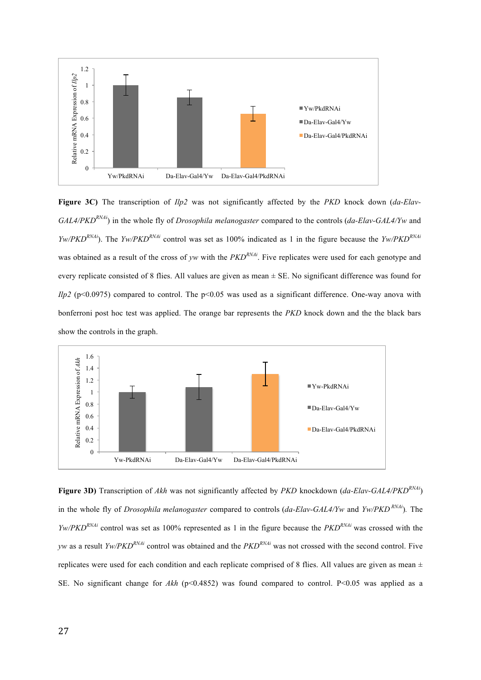

**Figure 3C)** The transcription of *Ilp2* was not significantly affected by the *PKD* knock down (*da-Elav-GAL4/PKDRNAi*) in the whole fly of *Drosophila melanogaster* compared to the controls (*da-Elav-GAL4/Yw* and *Yw/PKDRNAi*). The *Yw/PKDRNAi* control was set as 100% indicated as 1 in the figure because the *Yw/PKDRNAi* was obtained as a result of the cross of *yw* with the *PKD<sup>RNAi</sup>*. Five replicates were used for each genotype and every replicate consisted of 8 flies. All values are given as mean ± SE. No significant difference was found for *Ilp2* (p<0.0975) compared to control. The p<0.05 was used as a significant difference. One-way anova with bonferroni post hoc test was applied. The orange bar represents the *PKD* knock down and the the black bars show the controls in the graph.



**Figure 3D)** Transcription of *Akh* was not significantly affected by *PKD* knockdown (*da-Elav-GAL4/PKDRNAi*) in the whole fly of *Drosophila melanogaster* compared to controls (*da-Elav-GAL4/Yw* and *Yw/PKD*<sup>*RNAi*</sup>). The *Yw/PKDRNAi* control was set as 100% represented as 1 in the figure because the *PKDRNAi* was crossed with the *yw* as a result *Yw/PKDRNAi* control was obtained and the *PKDRNAi* was not crossed with the second control. Five replicates were used for each condition and each replicate comprised of 8 flies. All values are given as mean  $\pm$ SE. No significant change for *Akh* (p<0.4852) was found compared to control. P<0.05 was applied as a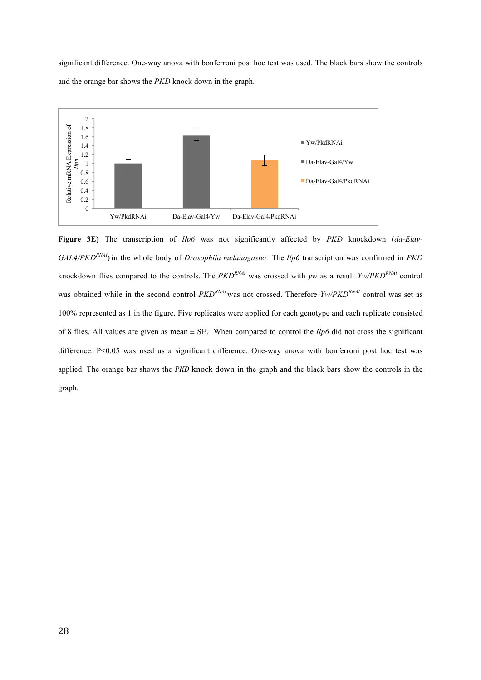significant difference. One-way anova with bonferroni post hoc test was used. The black bars show the controls and the orange bar shows the *PKD* knock down in the graph.



**Figure 3E)** The transcription of *Ilp6* was not significantly affected by *PKD* knockdown (*da-Elav-GAL4/PKDRNAi*) in the whole body of *Drosophila melanogaster.* The *Ilp6* transcription was confirmed in *PKD* knockdown flies compared to the controls. The *PKDRNAi* was crossed with *yw* as a result *Yw/PKDRNAi* control was obtained while in the second control  $PKD^{RMAi}$  was not crossed. Therefore  $Y_W/PKD^{RNAi}$  control was set as 100% represented as 1 in the figure. Five replicates were applied for each genotype and each replicate consisted of 8 flies. All values are given as mean  $\pm$  SE. When compared to control the *Ilp6* did not cross the significant difference. P<0.05 was used as a significant difference. One-way anova with bonferroni post hoc test was applied. The orange bar shows the *PKD* knock down in the graph and the black bars show the controls in the graph.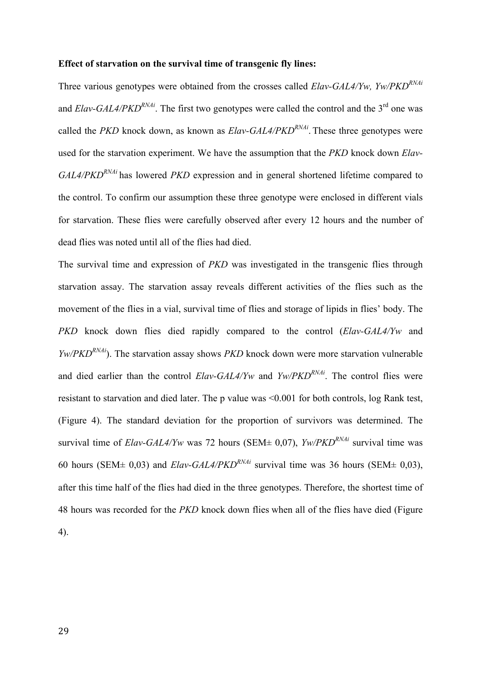#### **Effect of starvation on the survival time of transgenic fly lines:**

Three various genotypes were obtained from the crosses called *Elav-GAL4/Yw, Yw/PKDRNAi* and  $Elav-GAL4/PKD<sup>RNAi</sup>$ . The first two genotypes were called the control and the 3<sup>rd</sup> one was called the *PKD* knock down, as known as *Elav-GAL4/PKDRNAi*. These three genotypes were used for the starvation experiment. We have the assumption that the *PKD* knock down *Elav-GAL4/PKDRNAi* has lowered *PKD* expression and in general shortened lifetime compared to the control. To confirm our assumption these three genotype were enclosed in different vials for starvation. These flies were carefully observed after every 12 hours and the number of dead flies was noted until all of the flies had died.

The survival time and expression of *PKD* was investigated in the transgenic flies through starvation assay. The starvation assay reveals different activities of the flies such as the movement of the flies in a vial, survival time of flies and storage of lipids in flies' body. The *PKD* knock down flies died rapidly compared to the control (*Elav-GAL4/Yw* and *Yw/PKD<sup>RNAi*</sup>). The starvation assay shows *PKD* knock down were more starvation vulnerable and died earlier than the control *Elav-GAL4/Yw* and *Yw/PKDRNAi*. The control flies were resistant to starvation and died later. The p value was <0.001 for both controls, log Rank test, (Figure 4). The standard deviation for the proportion of survivors was determined. The survival time of *Elav-GAL4/Yw* was 72 hours (SEM $\pm$  0,07), *Yw/PKD<sup>RNAi*</sup> survival time was 60 hours (SEM $\pm$  0,03) and *Elav-GAL4/PKD*<sup>*RNAi*</sup> survival time was 36 hours (SEM $\pm$  0,03), after this time half of the flies had died in the three genotypes. Therefore, the shortest time of 48 hours was recorded for the *PKD* knock down flies when all of the flies have died (Figure 4).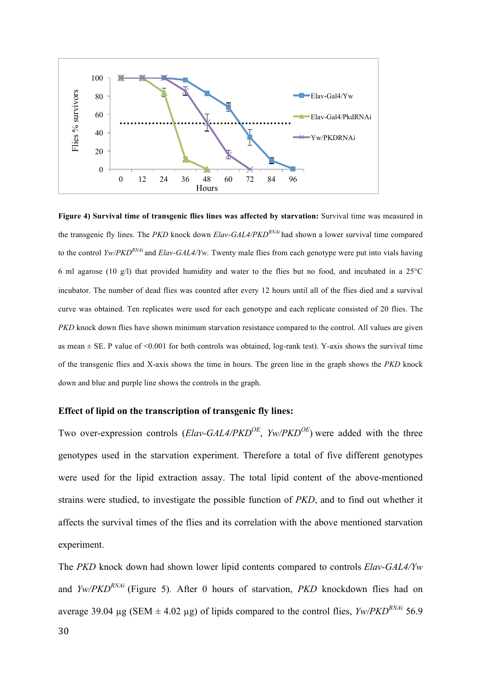

**Figure 4) Survival time of transgenic flies lines was affected by starvation:** Survival time was measured in the transgenic fly lines. The *PKD* knock down *Elav-GAL4/PKDRNAi* had shown a lower survival time compared to the control *Yw/PKDRNAi* and *Elav-GAL4/Yw.* Twenty male flies from each genotype were put into vials having 6 ml agarose (10 g/l) that provided humidity and water to the flies but no food, and incubated in a 25°C incubator. The number of dead flies was counted after every 12 hours until all of the flies died and a survival curve was obtained. Ten replicates were used for each genotype and each replicate consisted of 20 flies. The *PKD* knock down flies have shown minimum starvation resistance compared to the control. All values are given as mean  $\pm$  SE. P value of  $\leq 0.001$  for both controls was obtained, log-rank test). Y-axis shows the survival time of the transgenic flies and X-axis shows the time in hours. The green line in the graph shows the *PKD* knock down and blue and purple line shows the controls in the graph.

### **Effect of lipid on the transcription of transgenic fly lines:**

Two over-expression controls (*Elav-GAL4/PKDOE*, *Yw/PKDOE*) were added with the three genotypes used in the starvation experiment. Therefore a total of five different genotypes were used for the lipid extraction assay. The total lipid content of the above-mentioned strains were studied, to investigate the possible function of *PKD*, and to find out whether it affects the survival times of the flies and its correlation with the above mentioned starvation experiment.

The *PKD* knock down had shown lower lipid contents compared to controls *Elav-GAL4/Yw*  and *Yw/PKDRNAi* (Figure 5)*.* After 0 hours of starvation, *PKD* knockdown flies had on average 39.04  $\mu$ g (SEM  $\pm$  4.02  $\mu$ g) of lipids compared to the control flies, *Yw/PKD<sup>RNAi*</sup> 56.9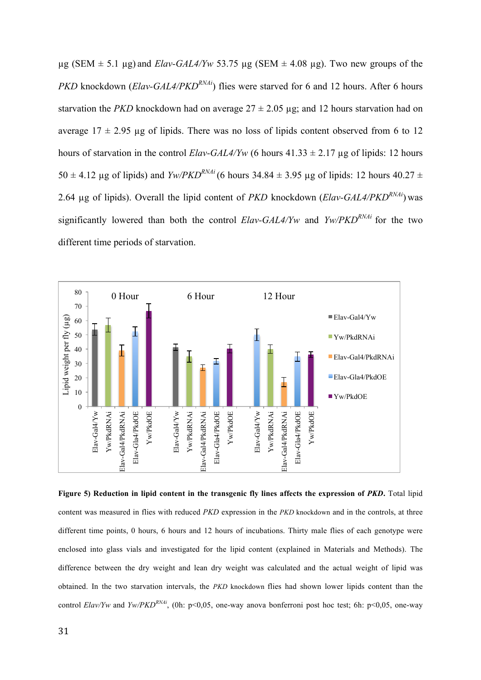$\mu$ g (SEM  $\pm$  5.1  $\mu$ g) and *Elav-GAL4/Yw* 53.75  $\mu$ g (SEM  $\pm$  4.08  $\mu$ g). Two new groups of the *PKD* knockdown (*Elav-GAL4/PKD<sup>RNAi*</sup>)</sub> flies were starved for 6 and 12 hours. After 6 hours starvation the *PKD* knockdown had on average  $27 \pm 2.05$  µg; and 12 hours starvation had on average  $17 \pm 2.95$  ug of lipids. There was no loss of lipids content observed from 6 to 12 hours of starvation in the control *Elav-GAL4/Yw* (6 hours  $41.33 \pm 2.17$  µg of lipids: 12 hours  $50 \pm 4.12$  ug of lipids) and *Yw/PKD<sup>RNAi</sup>* (6 hours 34.84  $\pm$  3.95 ug of lipids: 12 hours 40.27  $\pm$ 2.64 µg of lipids). Overall the lipid content of *PKD* knockdown (*Elav-GAL4/PKDRNAi*) was significantly lowered than both the control *Elav-GAL4/Yw* and *Yw/PKDRNAi* for the two different time periods of starvation.



**Figure 5) Reduction in lipid content in the transgenic fly lines affects the expression of** *PKD***.** Total lipid content was measured in flies with reduced *PKD* expression in the *PKD* knockdown and in the controls, at three different time points, 0 hours, 6 hours and 12 hours of incubations. Thirty male flies of each genotype were enclosed into glass vials and investigated for the lipid content (explained in Materials and Methods). The difference between the dry weight and lean dry weight was calculated and the actual weight of lipid was obtained. In the two starvation intervals, the *PKD* knockdown flies had shown lower lipids content than the control *Elav/Yw* and *Yw/PKD<sup>RNAi</sup>*, (0h: p<0,05, one-way anova bonferroni post hoc test; 6h: p<0,05, one-way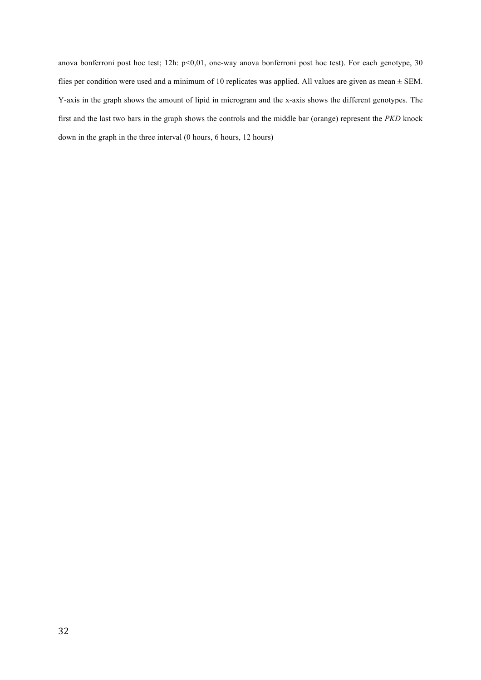anova bonferroni post hoc test; 12h: p<0,01, one-way anova bonferroni post hoc test). For each genotype, 30 flies per condition were used and a minimum of 10 replicates was applied. All values are given as mean ± SEM. Y-axis in the graph shows the amount of lipid in microgram and the x-axis shows the different genotypes. The first and the last two bars in the graph shows the controls and the middle bar (orange) represent the *PKD* knock down in the graph in the three interval (0 hours, 6 hours, 12 hours)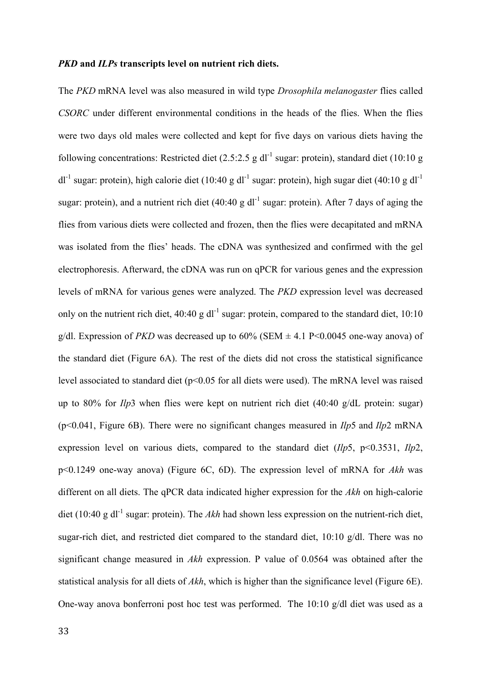#### *PKD* **and** *ILPs* **transcripts level on nutrient rich diets.**

The *PKD* mRNA level was also measured in wild type *Drosophila melanogaster* flies called *CSORC* under different environmental conditions in the heads of the flies. When the flies were two days old males were collected and kept for five days on various diets having the following concentrations: Restricted diet (2.5:2.5 g dl<sup>-1</sup> sugar: protein), standard diet (10:10 g  $dl^{-1}$  sugar: protein), high calorie diet (10:40 g dl<sup>-1</sup> sugar: protein), high sugar diet (40:10 g dl<sup>-1</sup> sugar: protein), and a nutrient rich diet (40:40 g dl<sup>-1</sup> sugar: protein). After 7 days of aging the flies from various diets were collected and frozen, then the flies were decapitated and mRNA was isolated from the flies' heads. The cDNA was synthesized and confirmed with the gel electrophoresis. Afterward, the cDNA was run on qPCR for various genes and the expression levels of mRNA for various genes were analyzed. The *PKD* expression level was decreased only on the nutrient rich diet,  $40:40 \text{ g d}^{-1}$  sugar: protein, compared to the standard diet,  $10:10$ g/dl. Expression of *PKD* was decreased up to  $60\%$  (SEM  $\pm$  4.1 P < 0.0045 one-way anova) of the standard diet (Figure 6A). The rest of the diets did not cross the statistical significance level associated to standard diet ( $p<0.05$  for all diets were used). The mRNA level was raised up to 80% for *Ilp*3 when flies were kept on nutrient rich diet (40:40 g/dL protein: sugar) (p<0.041, Figure 6B). There were no significant changes measured in *Ilp*5 and *Ilp*2 mRNA expression level on various diets, compared to the standard diet (*Ilp*5, p<0.3531, *Ilp*2, p<0.1249 one-way anova) (Figure 6C, 6D). The expression level of mRNA for *Akh* was different on all diets. The qPCR data indicated higher expression for the *Akh* on high-calorie diet (10:40 g dl<sup>-1</sup> sugar: protein). The *Akh* had shown less expression on the nutrient-rich diet, sugar-rich diet, and restricted diet compared to the standard diet,  $10:10 \text{ g/dl}$ . There was no significant change measured in *Akh* expression. P value of 0.0564 was obtained after the statistical analysis for all diets of *Akh*, which is higher than the significance level (Figure 6E). One-way anova bonferroni post hoc test was performed. The  $10:10$  g/dl diet was used as a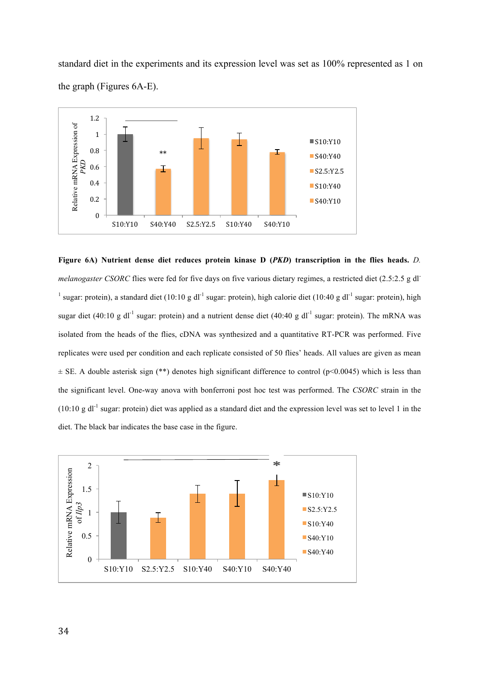standard diet in the experiments and its expression level was set as 100% represented as 1 on the graph (Figures 6A-E).



**Figure 6A) Nutrient dense diet reduces protein kinase D (***PKD***) transcription in the flies heads.** *D. melanogaster CSORC* flies were fed for five days on five various dietary regimes, a restricted diet (2.5:2.5 g dl<sup>-</sup> <sup>1</sup> sugar: protein), a standard diet (10:10 g dl<sup>-1</sup> sugar: protein), high calorie diet (10:40 g dl<sup>-1</sup> sugar: protein), high sugar diet (40:10 g dl<sup>-1</sup> sugar: protein) and a nutrient dense diet (40:40 g dl<sup>-1</sup> sugar: protein). The mRNA was isolated from the heads of the flies, cDNA was synthesized and a quantitative RT-PCR was performed. Five replicates were used per condition and each replicate consisted of 50 flies' heads. All values are given as mean  $\pm$  SE. A double asterisk sign (\*\*) denotes high significant difference to control (p<0.0045) which is less than the significant level. One-way anova with bonferroni post hoc test was performed. The *CSORC* strain in the  $(10:10 \text{ g d}^{-1}$  sugar: protein) diet was applied as a standard diet and the expression level was set to level 1 in the diet. The black bar indicates the base case in the figure.

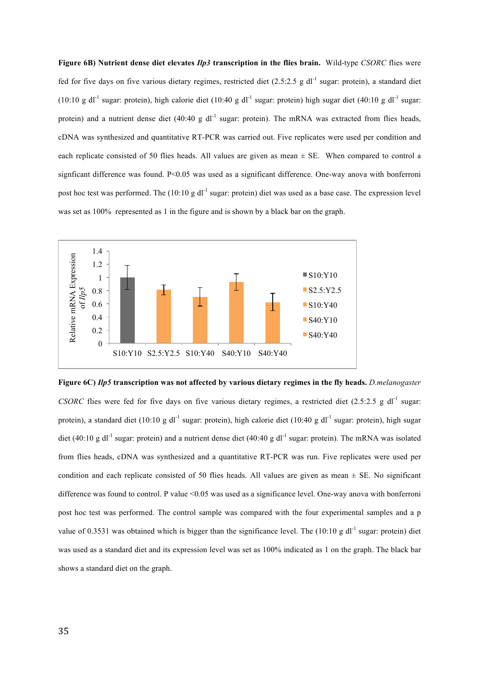**Figure 6B) Nutrient dense diet elevates** *Ilp3* **transcription in the flies brain.** Wild-type *CSORC* flies were fed for five days on five various dietary regimes, restricted diet  $(2.5:2.5 \text{ g d}^{-1}$  sugar: protein), a standard diet (10:10 g dl<sup>-1</sup> sugar: protein), high calorie diet (10:40 g dl<sup>-1</sup> sugar: protein) high sugar diet (40:10 g dl<sup>-1</sup> sugar: protein) and a nutrient dense diet  $(40:40 \text{ g d}^{-1}$  sugar: protein). The mRNA was extracted from flies heads, cDNA was synthesized and quantitative RT-PCR was carried out. Five replicates were used per condition and each replicate consisted of 50 flies heads. All values are given as mean  $\pm$  SE. When compared to control a signficant difference was found. P<0.05 was used as a significant difference. One-way anova with bonferroni post hoc test was performed. The  $(10:10 \text{ g d}^{-1}$  sugar: protein) diet was used as a base case. The expression level was set as 100% represented as 1 in the figure and is shown by a black bar on the graph.



**Figure 6C)** *Ilp5* **transcription was not affected by various dietary regimes in the fly heads.** *D.melanogaster CSORC* flies were fed for five days on five various dietary regimes, a restricted diet (2.5:2.5 g dl<sup>-1</sup> sugar: protein), a standard diet (10:10 g dl<sup>-1</sup> sugar: protein), high calorie diet (10:40 g dl<sup>-1</sup> sugar: protein), high sugar diet (40:10 g dl<sup>-1</sup> sugar: protein) and a nutrient dense diet (40:40 g dl<sup>-1</sup> sugar: protein). The mRNA was isolated from flies heads, cDNA was synthesized and a quantitative RT-PCR was run. Five replicates were used per condition and each replicate consisted of 50 flies heads. All values are given as mean  $\pm$  SE. No significant difference was found to control. P value <0.05 was used as a significance level. One-way anova with bonferroni post hoc test was performed. The control sample was compared with the four experimental samples and a p value of 0.3531 was obtained which is bigger than the significance level. The  $(10:10 \text{ g } dl^{-1}$  sugar: protein) diet was used as a standard diet and its expression level was set as 100% indicated as 1 on the graph. The black bar shows a standard diet on the graph.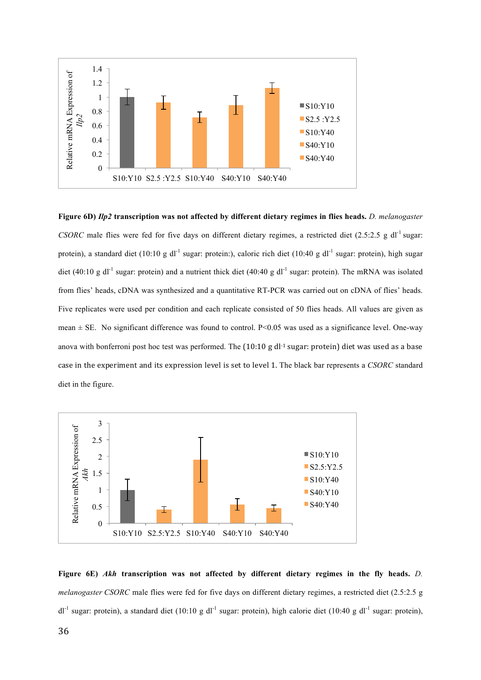

**Figure 6D)** *Ilp2* **transcription was not affected by different dietary regimes in flies heads.** *D. melanogaster CSORC* male flies were fed for five days on different dietary regimes, a restricted diet  $(2.5:2.5 \text{ g d}^{-1}$  sugar: protein), a standard diet (10:10 g dl<sup>-1</sup> sugar: protein:), caloric rich diet (10:40 g dl<sup>-1</sup> sugar: protein), high sugar diet (40:10 g dl<sup>-1</sup> sugar: protein) and a nutrient thick diet (40:40 g dl<sup>-1</sup> sugar: protein). The mRNA was isolated from flies' heads, cDNA was synthesized and a quantitative RT-PCR was carried out on cDNA of flies' heads. Five replicates were used per condition and each replicate consisted of 50 flies heads. All values are given as mean  $\pm$  SE. No significant difference was found to control. P<0.05 was used as a significance level. One-way anova with bonferroni post hoc test was performed. The  $(10:10 \text{ g} \, \text{d} \cdot \text{l}^{-1} \, \text{s}$ ugar: protein) diet was used as a base case in the experiment and its expression level is set to level 1. The black bar represents a *CSORC* standard diet in the figure.



**Figure 6E)** *Akh* **transcription was not affected by different dietary regimes in the fly heads.** *D. melanogaster CSORC* male flies were fed for five days on different dietary regimes, a restricted diet (2.5:2.5 g  $dl^{-1}$  sugar: protein), a standard diet (10:10 g dl<sup>-1</sup> sugar: protein), high calorie diet (10:40 g dl<sup>-1</sup> sugar: protein),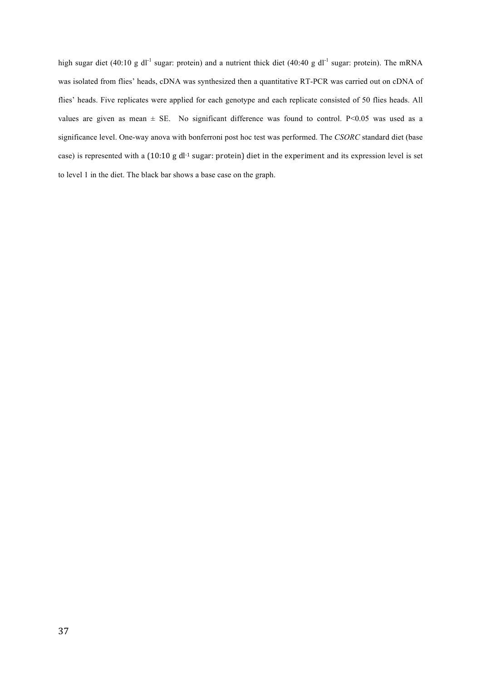high sugar diet (40:10 g dl<sup>-1</sup> sugar: protein) and a nutrient thick diet (40:40 g dl<sup>-1</sup> sugar: protein). The mRNA was isolated from flies' heads, cDNA was synthesized then a quantitative RT-PCR was carried out on cDNA of flies' heads. Five replicates were applied for each genotype and each replicate consisted of 50 flies heads. All values are given as mean  $\pm$  SE. No significant difference was found to control. P<0.05 was used as a significance level. One-way anova with bonferroni post hoc test was performed. The *CSORC* standard diet (base case) is represented with a (10:10 g dl<sup>-1</sup> sugar: protein) diet in the experiment and its expression level is set to level 1 in the diet. The black bar shows a base case on the graph.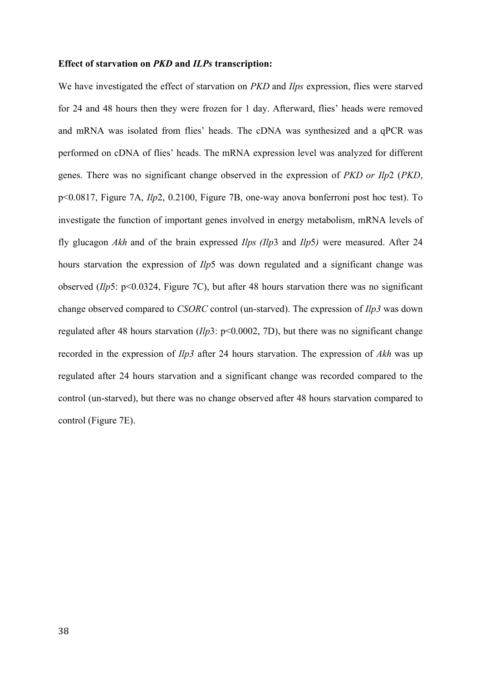#### **Effect of starvation on** *PKD* **and** *ILPs* **transcription:**

We have investigated the effect of starvation on *PKD* and *Ilps* expression, flies were starved for 24 and 48 hours then they were frozen for 1 day. Afterward, flies' heads were removed and mRNA was isolated from flies' heads. The cDNA was synthesized and a qPCR was performed on cDNA of flies' heads. The mRNA expression level was analyzed for different genes. There was no significant change observed in the expression of *PKD or Ilp*2 (*PKD*, p<0.0817, Figure 7A, *Ilp*2, 0.2100, Figure 7B, one-way anova bonferroni post hoc test). To investigate the function of important genes involved in energy metabolism, mRNA levels of fly glucagon *Akh* and of the brain expressed *Ilps (Ilp*3 and *Ilp*5*)* were measured. After 24 hours starvation the expression of *Ilp*5 was down regulated and a significant change was observed (*Ilp*5: p<0.0324, Figure 7C), but after 48 hours starvation there was no significant change observed compared to *CSORC* control (un-starved). The expression of *Ilp3* was down regulated after 48 hours starvation (*Ilp*3: p<0.0002, 7D), but there was no significant change recorded in the expression of *Ilp3* after 24 hours starvation. The expression of *Akh* was up regulated after 24 hours starvation and a significant change was recorded compared to the control (un-starved), but there was no change observed after 48 hours starvation compared to control (Figure 7E).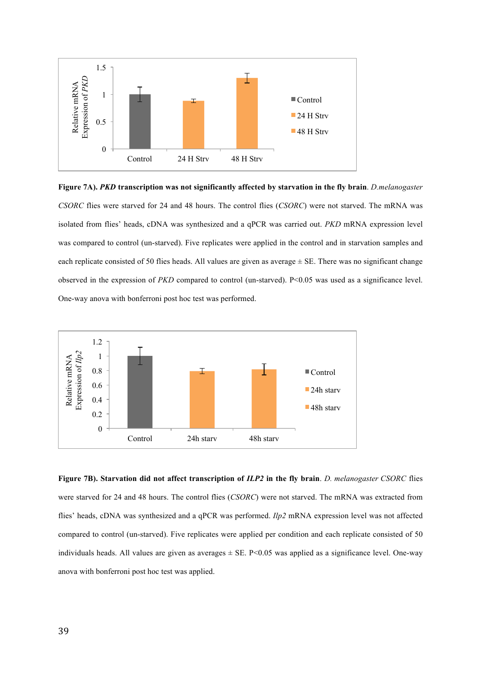

**Figure 7A).** *PKD* **transcription was not significantly affected by starvation in the fly brain**. *D.melanogaster CSORC* flies were starved for 24 and 48 hours. The control flies (*CSORC*) were not starved. The mRNA was isolated from flies' heads, cDNA was synthesized and a qPCR was carried out. *PKD* mRNA expression level was compared to control (un-starved). Five replicates were applied in the control and in starvation samples and each replicate consisted of 50 flies heads. All values are given as average ± SE. There was no significant change observed in the expression of *PKD* compared to control (un-starved). P<0.05 was used as a significance level. One-way anova with bonferroni post hoc test was performed.



**Figure 7B). Starvation did not affect transcription of** *ILP2* **in the fly brain**. *D. melanogaster CSORC* flies were starved for 24 and 48 hours. The control flies (*CSORC*) were not starved. The mRNA was extracted from flies' heads, cDNA was synthesized and a qPCR was performed. *Ilp2* mRNA expression level was not affected compared to control (un-starved). Five replicates were applied per condition and each replicate consisted of 50 individuals heads. All values are given as averages  $\pm$  SE, P<0.05 was applied as a significance level. One-way anova with bonferroni post hoc test was applied.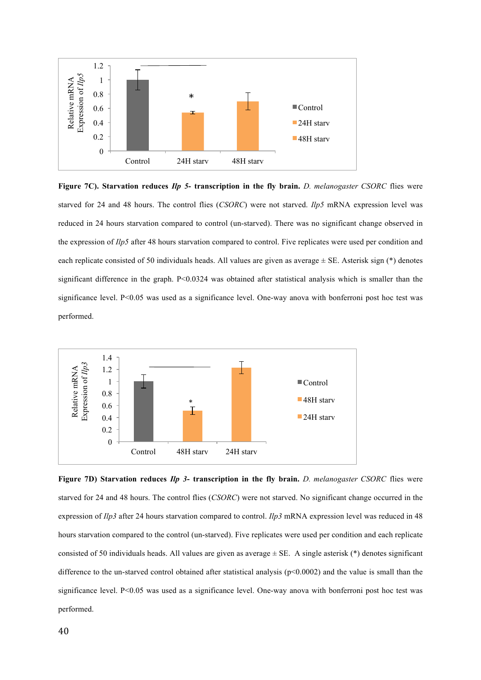

**Figure 7C). Starvation reduces** *Ilp 5***- transcription in the fly brain.** *D. melanogaster CSORC* flies were starved for 24 and 48 hours. The control flies (*CSORC*) were not starved. *Ilp5* mRNA expression level was reduced in 24 hours starvation compared to control (un-starved). There was no significant change observed in the expression of *Ilp5* after 48 hours starvation compared to control. Five replicates were used per condition and each replicate consisted of 50 individuals heads. All values are given as average  $\pm$  SE. Asterisk sign (\*) denotes significant difference in the graph. P<0.0324 was obtained after statistical analysis which is smaller than the significance level. P<0.05 was used as a significance level. One-way anova with bonferroni post hoc test was performed.



**Figure 7D) Starvation reduces** *Ilp 3***- transcription in the fly brain.** *D. melanogaster CSORC* flies were starved for 24 and 48 hours. The control flies (*CSORC*) were not starved. No significant change occurred in the expression of *Ilp3* after 24 hours starvation compared to control. *Ilp3* mRNA expression level was reduced in 48 hours starvation compared to the control (un-starved). Five replicates were used per condition and each replicate consisted of 50 individuals heads. All values are given as average  $\pm$  SE. A single asterisk (\*) denotes significant difference to the un-starved control obtained after statistical analysis (p<0.0002) and the value is small than the significance level. P<0.05 was used as a significance level. One-way anova with bonferroni post hoc test was performed.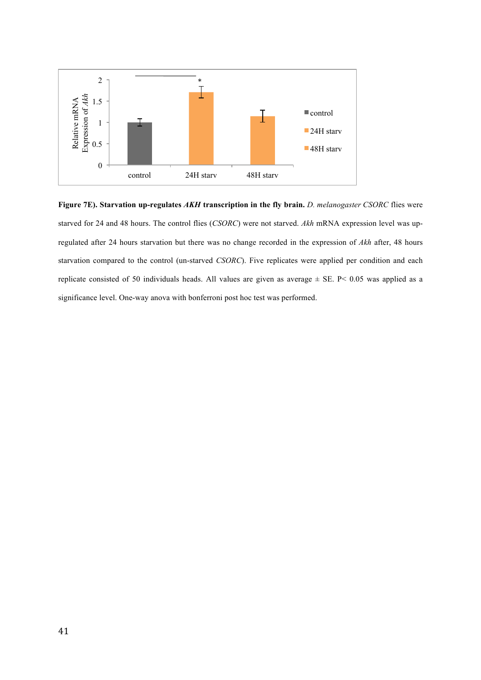

**Figure 7E). Starvation up-regulates** *AKH* **transcription in the fly brain.** *D. melanogaster CSORC* flies were starved for 24 and 48 hours. The control flies (*CSORC*) were not starved. *Akh* mRNA expression level was upregulated after 24 hours starvation but there was no change recorded in the expression of *Akh* after, 48 hours starvation compared to the control (un-starved *CSORC*). Five replicates were applied per condition and each replicate consisted of 50 individuals heads. All values are given as average  $\pm$  SE. P< 0.05 was applied as a significance level. One-way anova with bonferroni post hoc test was performed.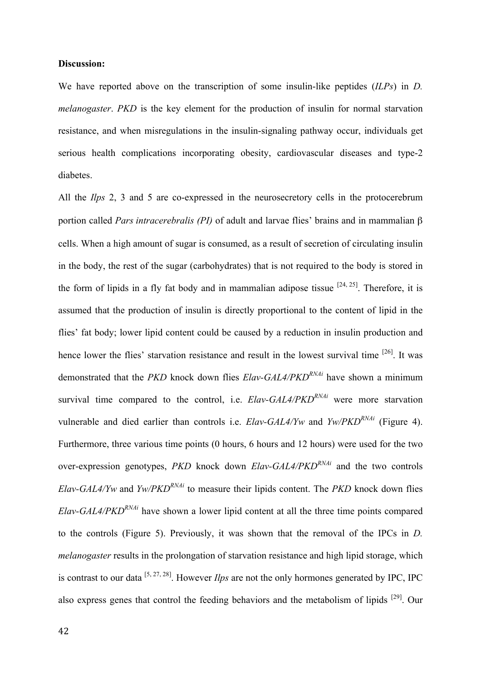#### **Discussion:**

We have reported above on the transcription of some insulin-like peptides (*ILPs*) in *D. melanogaster*. *PKD* is the key element for the production of insulin for normal starvation resistance, and when misregulations in the insulin-signaling pathway occur, individuals get serious health complications incorporating obesity, cardiovascular diseases and type-2 diabetes.

All the *Ilps* 2, 3 and 5 are co-expressed in the neurosecretory cells in the protocerebrum portion called *Pars intracerebralis (PI)* of adult and larvae flies' brains and in mammalian β cells. When a high amount of sugar is consumed, as a result of secretion of circulating insulin in the body, the rest of the sugar (carbohydrates) that is not required to the body is stored in the form of lipids in a fly fat body and in mammalian adipose tissue  $[24, 25]$ . Therefore, it is assumed that the production of insulin is directly proportional to the content of lipid in the flies' fat body; lower lipid content could be caused by a reduction in insulin production and hence lower the flies' starvation resistance and result in the lowest survival time <sup>[26]</sup>. It was demonstrated that the *PKD* knock down flies *Elav-GAL4/PKDRNAi* have shown a minimum survival time compared to the control, i.e. *Elav-GAL4/PKD<sup>RNAi*</sup> were more starvation vulnerable and died earlier than controls i.e. *Elav-GAL4/Yw* and *Yw/PKDRNAi* (Figure 4). Furthermore, three various time points (0 hours, 6 hours and 12 hours) were used for the two over-expression genotypes, *PKD* knock down *Elav-GAL4/PKD<sup>RNAi*</sup> and the two controls *Elav-GAL4/Yw* and *Yw/PKDRNAi* to measure their lipids content. The *PKD* knock down flies *Elav-GAL4/PKDRNAi* have shown a lower lipid content at all the three time points compared to the controls (Figure 5). Previously, it was shown that the removal of the IPCs in *D. melanogaster* results in the prolongation of starvation resistance and high lipid storage, which is contrast to our data [5, 27, 28] . However *Ilps* are not the only hormones generated by IPC, IPC also express genes that control the feeding behaviors and the metabolism of lipids  $[29]$ . Our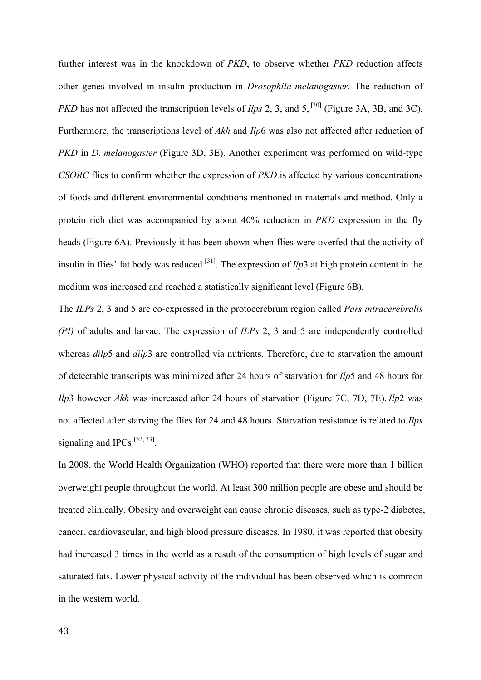further interest was in the knockdown of *PKD*, to observe whether *PKD* reduction affects other genes involved in insulin production in *Drosophila melanogaster*. The reduction of *PKD* has not affected the transcription levels of *Ilps* 2, 3, and 5,<sup>[30]</sup> (Figure 3A, 3B, and 3C). Furthermore, the transcriptions level of *Akh* and *Ilp*6 was also not affected after reduction of *PKD* in *D. melanogaster* (Figure 3D, 3E). Another experiment was performed on wild-type *CSORC* flies to confirm whether the expression of *PKD* is affected by various concentrations of foods and different environmental conditions mentioned in materials and method. Only a protein rich diet was accompanied by about 40% reduction in *PKD* expression in the fly heads (Figure 6A). Previously it has been shown when flies were overfed that the activity of insulin in flies' fat body was reduced  $^{[31]}$ . The expression of  $Ilp3$  at high protein content in the medium was increased and reached a statistically significant level (Figure 6B).

The *ILPs* 2, 3 and 5 are co-expressed in the protocerebrum region called *Pars intracerebralis (PI)* of adults and larvae. The expression of *ILPs* 2, 3 and 5 are independently controlled whereas *dilp*5 and *dilp*3 are controlled via nutrients. Therefore, due to starvation the amount of detectable transcripts was minimized after 24 hours of starvation for *Ilp*5 and 48 hours for *Ilp*3 however *Akh* was increased after 24 hours of starvation (Figure 7C, 7D, 7E). *Ilp*2 was not affected after starving the flies for 24 and 48 hours. Starvation resistance is related to *Ilps* signaling and IPCs  $[32, 33]$ .

In 2008, the World Health Organization (WHO) reported that there were more than 1 billion overweight people throughout the world. At least 300 million people are obese and should be treated clinically. Obesity and overweight can cause chronic diseases, such as type-2 diabetes, cancer, cardiovascular, and high blood pressure diseases. In 1980, it was reported that obesity had increased 3 times in the world as a result of the consumption of high levels of sugar and saturated fats. Lower physical activity of the individual has been observed which is common in the western world.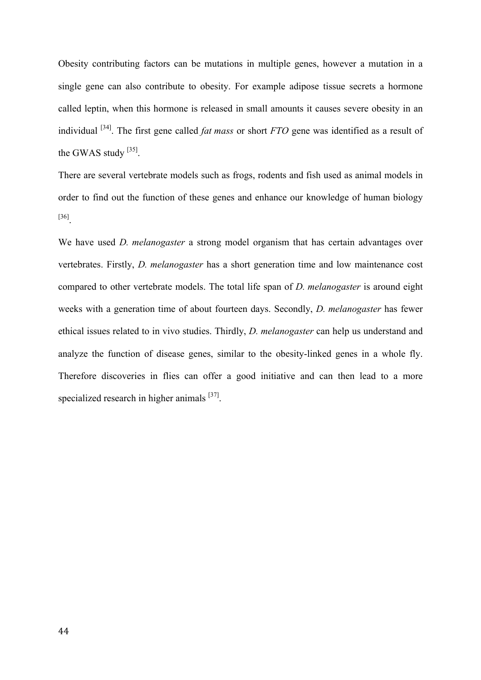Obesity contributing factors can be mutations in multiple genes, however a mutation in a single gene can also contribute to obesity. For example adipose tissue secrets a hormone called leptin, when this hormone is released in small amounts it causes severe obesity in an individual [34] . The first gene called *fat mass* or short *FTO* gene was identified as a result of the GWAS study  $^{[35]}$ .

There are several vertebrate models such as frogs, rodents and fish used as animal models in order to find out the function of these genes and enhance our knowledge of human biology [36].

We have used *D. melanogaster* a strong model organism that has certain advantages over vertebrates. Firstly, *D. melanogaster* has a short generation time and low maintenance cost compared to other vertebrate models. The total life span of *D. melanogaster* is around eight weeks with a generation time of about fourteen days. Secondly, *D. melanogaster* has fewer ethical issues related to in vivo studies. Thirdly, *D. melanogaster* can help us understand and analyze the function of disease genes, similar to the obesity-linked genes in a whole fly. Therefore discoveries in flies can offer a good initiative and can then lead to a more specialized research in higher animals [37].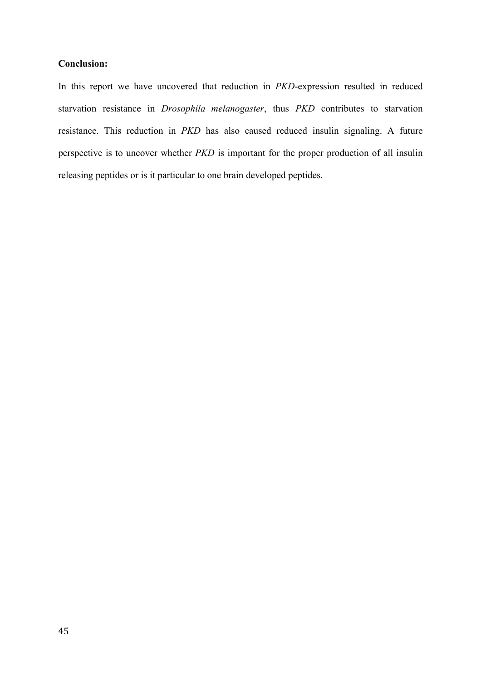## **Conclusion:**

In this report we have uncovered that reduction in *PKD*-expression resulted in reduced starvation resistance in *Drosophila melanogaster*, thus *PKD* contributes to starvation resistance. This reduction in *PKD* has also caused reduced insulin signaling. A future perspective is to uncover whether *PKD* is important for the proper production of all insulin releasing peptides or is it particular to one brain developed peptides.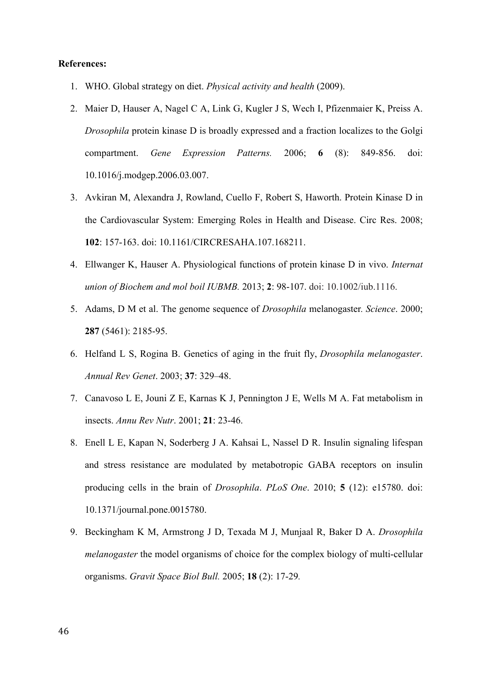#### **References:**

- 1. WHO. Global strategy on diet. *Physical activity and health* (2009).
- 2. Maier D, Hauser A, Nagel C A, Link G, Kugler J S, Wech I, Pfizenmaier K, Preiss A. *Drosophila* protein kinase D is broadly expressed and a fraction localizes to the Golgi compartment. *Gene Expression Patterns.* 2006; **6** (8): 849-856. doi: 10.1016/j.modgep.2006.03.007.
- 3. Avkiran M, Alexandra J, Rowland, Cuello F, Robert S, Haworth. Protein Kinase D in the Cardiovascular System: Emerging Roles in Health and Disease. Circ Res. 2008; **102**: 157-163. doi: 10.1161/CIRCRESAHA.107.168211.
- 4. Ellwanger K, Hauser A. Physiological functions of protein kinase D in vivo. *Internat union of Biochem and mol boil IUBMB.* 2013; **2**: 98-107. doi: 10.1002/iub.1116.
- 5. Adams, D M et al. The genome sequence of *Drosophila* melanogaster*. Science*. 2000; **287** (5461): 2185-95.
- 6. Helfand L S, Rogina B. Genetics of aging in the fruit fly, *Drosophila melanogaster*. *Annual Rev Genet*. 2003; **37**: 329–48.
- 7. Canavoso L E, Jouni Z E, Karnas K J, Pennington J E, Wells M A. Fat metabolism in insects. *Annu Rev Nutr*. 2001; **21**: 23-46.
- 8. Enell L E, Kapan N, Soderberg J A. Kahsai L, Nassel D R. Insulin signaling lifespan and stress resistance are modulated by metabotropic GABA receptors on insulin producing cells in the brain of *Drosophila*. *PLoS One*. 2010; **5** (12): e15780. doi: 10.1371/journal.pone.0015780.
- 9. Beckingham K M, Armstrong J D, Texada M J, Munjaal R, Baker D A. *Drosophila melanogaster* the model organisms of choice for the complex biology of multi-cellular organisms. *Gravit Space Biol Bull.* 2005; **18** (2): 17-29*.*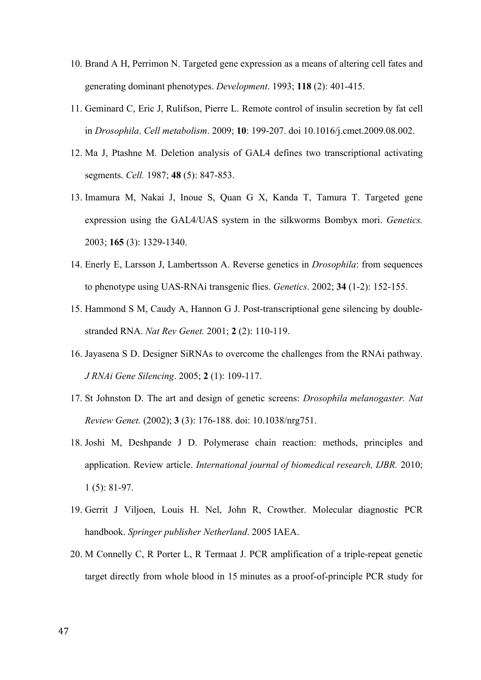- 10. Brand A H, Perrimon N. Targeted gene expression as a means of altering cell fates and generating dominant phenotypes. *Development*. 1993; **118** (2): 401-415.
- 11. Geminard C, Eric J, Rulifson, Pierre L. Remote control of insulin secretion by fat cell in *Drosophila*. *Cell metabolism*. 2009; **10**: 199-207. doi 10.1016/j.cmet.2009.08.002.
- 12. Ma J, Ptashne M. Deletion analysis of GAL4 defines two transcriptional activating segments. *Cell.* 1987; **48** (5): 847-853.
- 13. Imamura M, Nakai J, Inoue S, Quan G X, Kanda T, Tamura T. Targeted gene expression using the GAL4/UAS system in the silkworms Bombyx mori. *Genetics.* 2003; **165** (3): 1329-1340.
- 14. Enerly E, Larsson J, Lambertsson A. Reverse genetics in *Drosophila*: from sequences to phenotype using UAS-RNAi transgenic flies. *Genetics*. 2002; **34** (1-2): 152-155.
- 15. Hammond S M, Caudy A, Hannon G J. Post-transcriptional gene silencing by doublestranded RNA. *Nat Rev Genet.* 2001; **2** (2): 110-119.
- 16. Jayasena S D. Designer SiRNAs to overcome the challenges from the RNAi pathway. *J RNAi Gene Silencing*. 2005; **2** (1): 109-117.
- 17. St Johnston D. The art and design of genetic screens: *Drosophila melanogaster. Nat Review Genet.* (2002); **3** (3): 176-188. doi: 10.1038/nrg751.
- 18. Joshi M, Deshpande J D. Polymerase chain reaction: methods, principles and application. Review article. *International journal of biomedical research, IJBR.* 2010; 1 (5): 81-97.
- 19. Gerrit J Viljoen, Louis H. Nel, John R, Crowther. Molecular diagnostic PCR handbook. *Springer publisher Netherland*. 2005 IAEA.
- 20. M Connelly C, R Porter L, R Termaat J. PCR amplification of a triple-repeat genetic target directly from whole blood in 15 minutes as a proof-of-principle PCR study for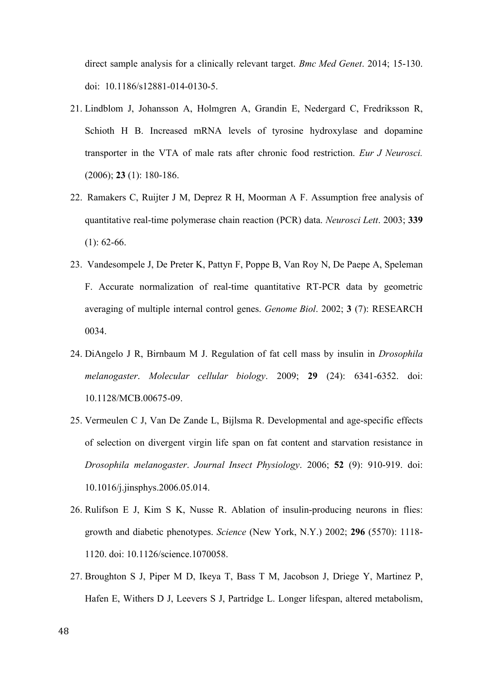direct sample analysis for a clinically relevant target. *Bmc Med Genet*. 2014; 15-130. doi: 10.1186/s12881-014-0130-5.

- 21. Lindblom J, Johansson A, Holmgren A, Grandin E, Nedergard C, Fredriksson R, Schioth H B. Increased mRNA levels of tyrosine hydroxylase and dopamine transporter in the VTA of male rats after chronic food restriction. *Eur J Neurosci.*  (2006); **23** (1): 180-186.
- 22. Ramakers C, Ruijter J M, Deprez R H, Moorman A F. Assumption free analysis of quantitative real-time polymerase chain reaction (PCR) data. *Neurosci Lett*. 2003; **339**  $(1): 62-66.$
- 23. Vandesompele J, De Preter K, Pattyn F, Poppe B, Van Roy N, De Paepe A, Speleman F. Accurate normalization of real-time quantitative RT-PCR data by geometric averaging of multiple internal control genes. *Genome Biol*. 2002; **3** (7): RESEARCH 0034.
- 24. DiAngelo J R, Birnbaum M J. Regulation of fat cell mass by insulin in *Drosophila melanogaster*. *Molecular cellular biology*. 2009; **29** (24): 6341-6352. doi: 10.1128/MCB.00675-09.
- 25. Vermeulen C J, Van De Zande L, Bijlsma R. Developmental and age-specific effects of selection on divergent virgin life span on fat content and starvation resistance in *Drosophila melanogaster*. *Journal Insect Physiology*. 2006; **52** (9): 910-919. doi: 10.1016/j.jinsphys.2006.05.014.
- 26. Rulifson E J, Kim S K, Nusse R. Ablation of insulin-producing neurons in flies: growth and diabetic phenotypes. *Science* (New York, N.Y.) 2002; **296** (5570): 1118- 1120. doi: 10.1126/science.1070058.
- 27. Broughton S J, Piper M D, Ikeya T, Bass T M, Jacobson J, Driege Y, Martinez P, Hafen E, Withers D J, Leevers S J, Partridge L. Longer lifespan, altered metabolism,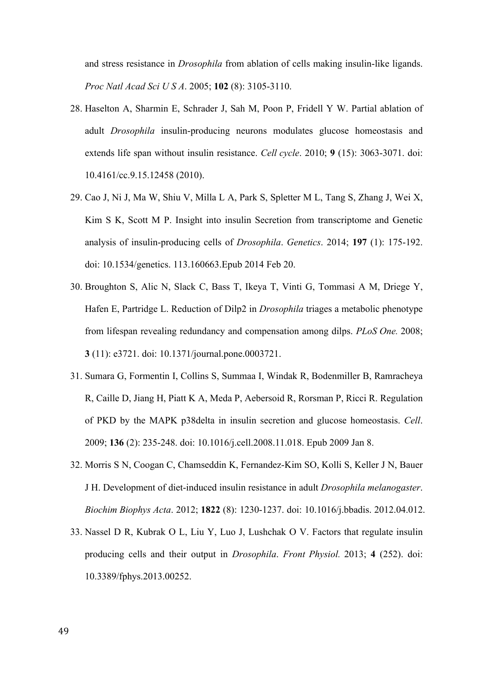and stress resistance in *Drosophila* from ablation of cells making insulin-like ligands. *Proc Natl Acad Sci U S A*. 2005; **102** (8): 3105-3110.

- 28. Haselton A, Sharmin E, Schrader J, Sah M, Poon P, Fridell Y W. Partial ablation of adult *Drosophila* insulin-producing neurons modulates glucose homeostasis and extends life span without insulin resistance. *Cell cycle*. 2010; **9** (15): 3063-3071. doi: 10.4161/cc.9.15.12458 (2010).
- 29. Cao J, Ni J, Ma W, Shiu V, Milla L A, Park S, Spletter M L, Tang S, Zhang J, Wei X, Kim S K, Scott M P. Insight into insulin Secretion from transcriptome and Genetic analysis of insulin-producing cells of *Drosophila*. *Genetics*. 2014; **197** (1): 175-192. doi: 10.1534/genetics. 113.160663.Epub 2014 Feb 20.
- 30. Broughton S, Alic N, Slack C, Bass T, Ikeya T, Vinti G, Tommasi A M, Driege Y, Hafen E, Partridge L. Reduction of Dilp2 in *Drosophila* triages a metabolic phenotype from lifespan revealing redundancy and compensation among dilps. *PLoS One.* 2008; **3** (11): e3721. doi: 10.1371/journal.pone.0003721.
- 31. Sumara G, Formentin I, Collins S, Summaa I, Windak R, Bodenmiller B, Ramracheya R, Caille D, Jiang H, Piatt K A, Meda P, Aebersoid R, Rorsman P, Ricci R. Regulation of PKD by the MAPK p38delta in insulin secretion and glucose homeostasis. *Cell*. 2009; **136** (2): 235-248. doi: 10.1016/j.cell.2008.11.018. Epub 2009 Jan 8.
- 32. Morris S N, Coogan C, Chamseddin K, Fernandez-Kim SO, Kolli S, Keller J N, Bauer J H. Development of diet-induced insulin resistance in adult *Drosophila melanogaster*. *Biochim Biophys Acta*. 2012; **1822** (8): 1230-1237. doi: 10.1016/j.bbadis. 2012.04.012.
- 33. Nassel D R, Kubrak O L, Liu Y, Luo J, Lushchak O V. Factors that regulate insulin producing cells and their output in *Drosophila*. *Front Physiol.* 2013; **4** (252). doi: 10.3389/fphys.2013.00252.